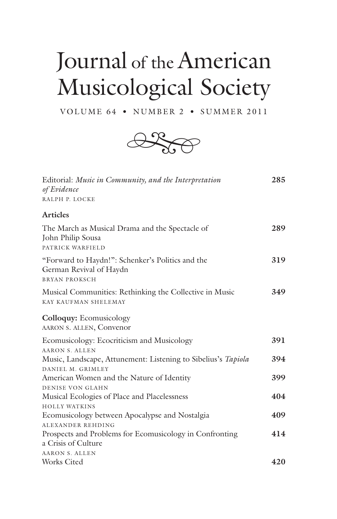VOLUME 64 • NUMBER 2 • SUMMER 2011



| Editorial: Music in Community, and the Interpretation<br>of Evidence                                | 285 |
|-----------------------------------------------------------------------------------------------------|-----|
| RALPH P. LOCKE                                                                                      |     |
| <b>Articles</b>                                                                                     |     |
| The March as Musical Drama and the Spectacle of<br>John Philip Sousa<br>PATRICK WARFIELD            | 289 |
| "Forward to Haydn!": Schenker's Politics and the<br>German Revival of Haydn<br><b>BRYAN PROKSCH</b> | 319 |
| Musical Communities: Rethinking the Collective in Music<br>KAY KAUFMAN SHELEMAY                     | 349 |
| <b>Colloquy:</b> Ecomusicology<br>AARON S. ALLEN, Convenor                                          |     |
| Ecomusicology: Ecocriticism and Musicology<br>AARON S. ALLEN                                        | 391 |
| Music, Landscape, Attunement: Listening to Sibelius's Tapiola<br>DANIEL M. GRIMLEY                  | 394 |
| American Women and the Nature of Identity<br>DENISE VON GLAHN                                       | 399 |
| Musical Ecologies of Place and Placelessness<br><b>HOLLY WATKINS</b>                                | 404 |
| Ecomusicology between Apocalypse and Nostalgia                                                      | 409 |
| ALEXANDER REHDING<br>Prospects and Problems for Ecomusicology in Confronting<br>a Crisis of Culture | 414 |
| AARON S. ALLEN<br>Works Cited                                                                       | 420 |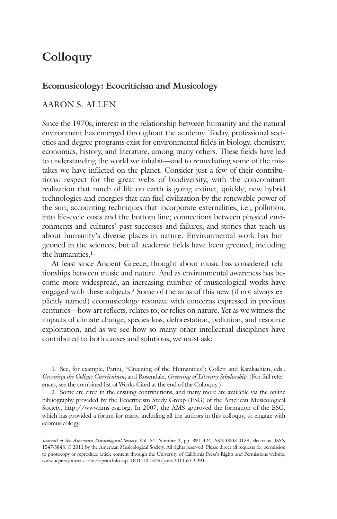## **Colloquy**

## **Ecomusicology: Ecocriticism and Musicology**

#### AARON S. ALLEN

Since the 1970s, interest in the relationship between humanity and the natural environment has emerged throughout the academy. Today, professional societies and degree programs exist for environmental fields in biology, chemistry, economics, history, and literature, among many others. These fields have led to understanding the world we inhabit—and to remediating some of the mistakes we have inflicted on the planet. Consider just a few of their contributions: respect for the great webs of biodiversity, with the concomitant realization that much of life on earth is going extinct, quickly; new hybrid technologies and energies that can fuel civilization by the renewable power of the sun; accounting techniques that incorporate externalities, i.e., pollution, into life-cycle costs and the bottom line; connections between physical environments and cultures' past successes and failures; and stories that teach us about humanity's diverse places in nature. Environmental work has burgeoned in the sciences, but all academic fields have been greened, including the humanities.<sup>1</sup>

At least since Ancient Greece, thought about music has considered relationships between music and nature. And as environmental awareness has become more widespread, an increasing number of musicological works have engaged with these subjects.2 Some of the aims of this new (if not always explicitly named) ecomusicology resonate with concerns expressed in previous centuries—how art reflects, relates to, or relies on nature. Yet as we witness the impacts of climate change, species loss, deforestation, pollution, and resource exploitation, and as we see how so many other intellectual disciplines have contributed to both causes and solutions, we must ask:

1. See, for example, Parini, "Greening of the Humanities"; Collett and Karakashian, eds., *Greening the College Curriculum*; and Rosendale, *Greening of Literary Scholarship*. (For full references, see the combined list of Works Cited at the end of the Colloquy.)

2. Some are cited in the ensuing contributions, and many more are available via the online bibliography provided by the Ecocriticism Study Group (ESG) of the American Musicological Society, http://www.ams-esg.org. In 2007, the AMS approved the formation of the ESG, which has provided a forum for many, including all the authors in this colloquy, to engage with ecomusicology.

*Journal of the American Musicological Society*, Vol. 64, Number 2, pp. 391–424 ISSN 0003-0139, electronic ISSN 1547-3848. © 2011 by the American Musicological Society. All rights reserved. Please direct all requests for permission to photocopy or reproduce article content through the University of California Press's Rights and Permissions website, www.ucpressjournals.com/reprintInfo.asp. DOI: 10.1525/jams.2011.64.2.391.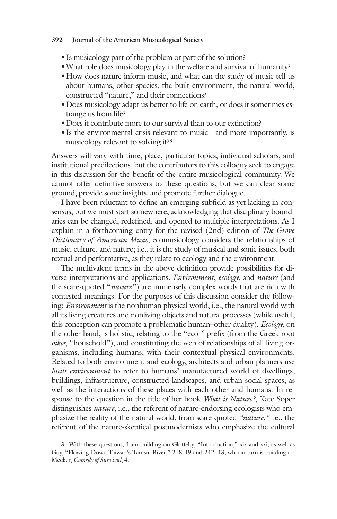- •Is musicology part of the problem or part of the solution?
- •What role does musicology play in the welfare and survival of humanity?
- •How does nature inform music, and what can the study of music tell us about humans, other species, the built environment, the natural world, constructed "nature," and their connections?
- •Does musicology adapt us better to life on earth, or does it sometimes estrange us from life?
- •Does it contribute more to our survival than to our extinction?
- •Is the environmental crisis relevant to music—and more importantly, is musicology relevant to solving it?3

Answers will vary with time, place, particular topics, individual scholars, and institutional predilections, but the contributors to this colloquy seek to engage in this discussion for the benefit of the entire musicological community. We cannot offer definitive answers to these questions, but we can clear some ground, provide some insights, and promote further dialogue.

I have been reluctant to define an emerging subfield as yet lacking in consensus, but we must start somewhere, acknowledging that disciplinary boundaries can be changed, redefined, and opened to multiple interpretations. As I explain in a forthcoming entry for the revised (2nd) edition of *The Grove Dictionary of American Music*, ecomusicology considers the relationships of music, culture, and nature; i.e., it is the study of musical and sonic issues, both textual and performative, as they relate to ecology and the environment.

The multivalent terms in the above definition provide possibilities for diverse interpretations and applications. *Environment*, *ecology*, and *nature* (and the scare-quoted "*nature*") are immensely complex words that are rich with contested meanings. For the purposes of this discussion consider the following: *Environment* is the nonhuman physical world, i.e., the natural world with all its living creatures and nonliving objects and natural processes (while useful, this conception can promote a problematic human–other duality). *Ecology*, on the other hand, is holistic, relating to the "eco-" prefix (from the Greek root *oikos*, "household"), and constituting the web of relationships of all living organisms, including humans, with their contextual physical environments. Related to both environment and ecology, architects and urban planners use *built environment* to refer to humans' manufactured world of dwellings, buildings, infrastructure, constructed landscapes, and urban social spaces, as well as the interactions of these places with each other and humans. In response to the question in the title of her book *What is Nature?*, Kate Soper distinguishes *nature*, i.e., the referent of nature-endorsing ecologists who emphasize the reality of the natural world, from scare-quoted *"nature,"* i.e., the referent of the nature-skeptical postmodernists who emphasize the cultural

<sup>3.</sup> With these questions, I am building on Glotfelty, "Introduction," xix and xxi, as well as Guy, "Flowing Down Taiwan's Tamsui River," 218–19 and 242–43, who in turn is building on Meeker, *Comedy of Survival*, 4.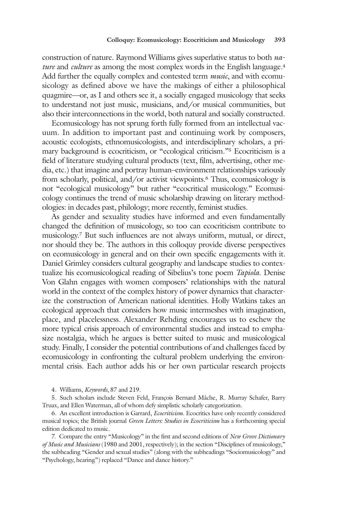construction of nature. Raymond Williams gives superlative status to both *nature* and *culture* as among the most complex words in the English language.<sup>4</sup> Add further the equally complex and contested term *music*, and with ecomusicology as defined above we have the makings of either a philosophical quagmire—or, as I and others see it, a socially engaged musicology that seeks to understand not just music, musicians, and/or musical communities, but also their interconnections in the world, both natural and socially constructed.

Ecomusicology has not sprung forth fully formed from an intellectual vacuum. In addition to important past and continuing work by composers, acoustic ecologists, ethnomusicologists, and interdisciplinary scholars, a primary background is ecocriticism, or "ecological criticism."5 Ecocriticism is a field of literature studying cultural products (text, film, advertising, other media, etc.) that imagine and portray human–environment relationships variously from scholarly, political, and/or activist viewpoints.<sup>6</sup> Thus, ecomusicology is not "ecological musicology" but rather "ecocritical musicology." Ecomusicology continues the trend of music scholarship drawing on literary methodologies: in decades past, philology; more recently, feminist studies.

As gender and sexuality studies have informed and even fundamentally changed the definition of musicology, so too can ecocriticism contribute to musicology.7 But such influences are not always uniform, mutual, or direct, nor should they be. The authors in this colloquy provide diverse perspectives on ecomusicology in general and on their own specific engagements with it. Daniel Grimley considers cultural geography and landscape studies to contextualize his ecomusicological reading of Sibelius's tone poem *Tapiola*. Denise Von Glahn engages with women composers' relationships with the natural world in the context of the complex history of power dynamics that characterize the construction of American national identities. Holly Watkins takes an ecological approach that considers how music intermeshes with imagination, place, and placelessness. Alexander Rehding encourages us to eschew the more typical crisis approach of environmental studies and instead to emphasize nostalgia, which he argues is better suited to music and musicological study. Finally, I consider the potential contributions of and challenges faced by ecomusicology in confronting the cultural problem underlying the environmental crisis. Each author adds his or her own particular research projects

4. Williams, *Keywords*, 87 and 219.

5. Such scholars include Steven Feld, François Bernard Mâche, R. Murray Schafer, Barry Truax, and Ellen Waterman, all of whom defy simplistic scholarly categorization.

6. An excellent introduction is Garrard, *Ecocriticism*. Ecocritics have only recently considered musical topics; the British journal *Green Letters: Studies in Ecocriticism* has a forthcoming special edition dedicated to music.

7. Compare the entry "Musicology" in the first and second editions of *New Grove Dictionary of Music and Musicians* (1980 and 2001, respectively); in the section "Disciplines of musicology," the subheading "Gender and sexual studies" (along with the subheadings "Sociomusicology" and "Psychology, hearing") replaced "Dance and dance history."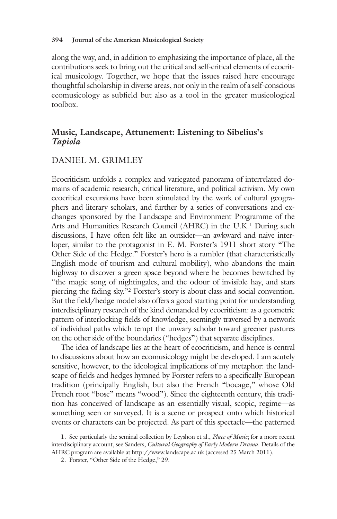along the way, and, in addition to emphasizing the importance of place, all the contributions seek to bring out the critical and self-critical elements of ecocritical musicology. Together, we hope that the issues raised here encourage thoughtful scholarship in diverse areas, not only in the realm of a self-conscious ecomusicology as subfield but also as a tool in the greater musicological toolbox.

## **Music, Landscape, Attunement: Listening to Sibelius's** *Tapiola*

#### DANIEL M. GRIMLEY

Ecocriticism unfolds a complex and variegated panorama of interrelated domains of academic research, critical literature, and political activism. My own ecocritical excursions have been stimulated by the work of cultural geographers and literary scholars, and further by a series of conversations and exchanges sponsored by the Landscape and Environment Programme of the Arts and Humanities Research Council (AHRC) in the U.K.<sup>1</sup> During such discussions, I have often felt like an outsider—an awkward and naive interloper, similar to the protagonist in E. M. Forster's 1911 short story "The Other Side of the Hedge." Forster's hero is a rambler (that characteristically English mode of tourism and cultural mobility), who abandons the main highway to discover a green space beyond where he becomes bewitched by "the magic song of nightingales, and the odour of invisible hay, and stars piercing the fading sky."2 Forster's story is about class and social convention. But the field/hedge model also offers a good starting point for understanding interdisciplinary research of the kind demanded by ecocriticism: as a geometric pattern of interlocking fields of knowledge, seemingly traversed by a network of individual paths which tempt the unwary scholar toward greener pastures on the other side of the boundaries ("hedges") that separate disciplines.

The idea of landscape lies at the heart of ecocriticism, and hence is central to discussions about how an ecomusicology might be developed. I am acutely sensitive, however, to the ideological implications of my metaphor: the landscape of fields and hedges hymned by Forster refers to a specifically European tradition (principally English, but also the French "bocage," whose Old French root "bosc" means "wood"). Since the eighteenth century, this tradition has conceived of landscape as an essentially visual, scopic, regime—as something seen or surveyed. It is a scene or prospect onto which historical events or characters can be projected. As part of this spectacle—the patterned

<sup>1.</sup> See particularly the seminal collection by Leyshon et al., *Place of Music*; for a more recent interdisciplinary account, see Sanders, *Cultural Geography of Early Modern Drama*. Details of the AHRC program are available at http://www.landscape.ac.uk (accessed 25 March 2011).

<sup>2.</sup> Forster, "Other Side of the Hedge," 29.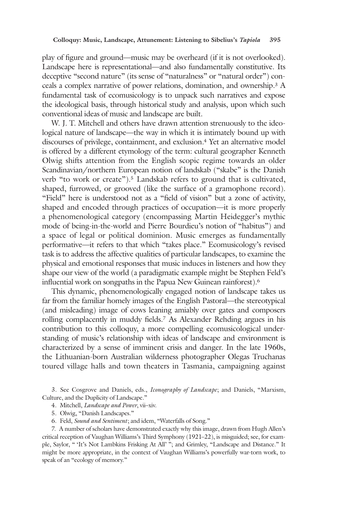play of figure and ground—music may be overheard (if it is not overlooked). Landscape here is representational—and also fundamentally constitutive. Its deceptive "second nature" (its sense of "naturalness" or "natural order") conceals a complex narrative of power relations, domination, and ownership.3 A fundamental task of ecomusicology is to unpack such narratives and expose the ideological basis, through historical study and analysis, upon which such conventional ideas of music and landscape are built.

W. J. T. Mitchell and others have drawn attention strenuously to the ideological nature of landscape—the way in which it is intimately bound up with discourses of privilege, containment, and exclusion.4 Yet an alternative model is offered by a different etymology of the term: cultural geographer Kenneth Olwig shifts attention from the English scopic regime towards an older Scandinavian/northern European notion of landskab ("skabe" is the Danish verb "to work or create").<sup>5</sup> Landskab refers to ground that is cultivated, shaped, furrowed, or grooved (like the surface of a gramophone record). "Field" here is understood not as a "field of vision" but a zone of activity, shaped and encoded through practices of occupation—it is more properly a phenomenological category (encompassing Martin Heidegger's mythic mode of being-in-the-world and Pierre Bourdieu's notion of "habitus") and a space of legal or political dominion. Music emerges as fundamentally performative—it refers to that which "takes place." Ecomusicology's revised task is to address the affective qualities of particular landscapes, to examine the physical and emotional responses that music induces in listeners and how they shape our view of the world (a paradigmatic example might be Stephen Feld's influential work on songpaths in the Papua New Guinean rainforest).6

This dynamic, phenomenologically engaged notion of landscape takes us far from the familiar homely images of the English Pastoral—the stereotypical (and misleading) image of cows leaning amiably over gates and composers rolling complacently in muddy fields.7 As Alexander Rehding argues in his contribution to this colloquy, a more compelling ecomusicological understanding of music's relationship with ideas of landscape and environment is characterized by a sense of imminent crisis and danger. In the late 1960s, the Lithuanian-born Australian wilderness photographer Olegas Truchanas toured village halls and town theaters in Tasmania, campaigning against

3. See Cosgrove and Daniels, eds., *Iconography of Landscape*; and Daniels, "Marxism, Culture, and the Duplicity of Landscape."

4. Mitchell, *Landscape and Power*, vii–xiv.

5. Olwig, "Danish Landscapes."

6. Feld, *Sound and Sentiment*; and idem, "Waterfalls of Song."

7. A number of scholars have demonstrated exactly why this image, drawn from Hugh Allen's critical reception of Vaughan Williams's Third Symphony (1921–22), is misguided; see, for example, Saylor, " 'It's Not Lambkins Frisking At All' "; and Grimley, "Landscape and Distance." It might be more appropriate, in the context of Vaughan Williams's powerfully war-torn work, to speak of an "ecology of memory."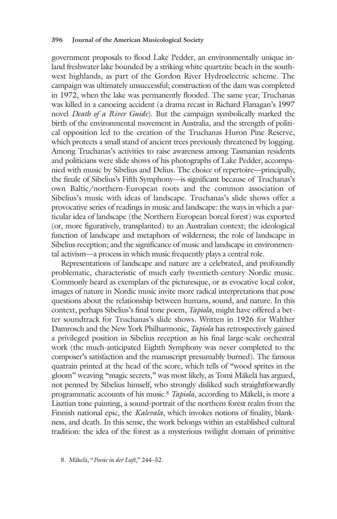government proposals to flood Lake Pedder, an environmentally unique inland freshwater lake bounded by a striking white quartzite beach in the southwest highlands, as part of the Gordon River Hydroelectric scheme. The campaign was ultimately unsuccessful; construction of the dam was completed in 1972, when the lake was permanently flooded. The same year, Truchanas was killed in a canoeing accident (a drama recast in Richard Flanagan's 1997 novel *Death of a River Guide*). But the campaign symbolically marked the birth of the environmental movement in Australia, and the strength of political opposition led to the creation of the Truchanas Huron Pine Reserve, which protects a small stand of ancient trees previously threatened by logging. Among Truchanas's activities to raise awareness among Tasmanian residents and politicians were slide shows of his photographs of Lake Pedder, accompanied with music by Sibelius and Delius. The choice of repertoire—principally, the finale of Sibelius's Fifth Symphony—is significant because of Truchanas's own Baltic/northern-European roots and the common association of Sibelius's music with ideas of landscape. Truchanas's slide shows offer a provocative series of readings in music and landscape: the ways in which a particular idea of landscape (the Northern European boreal forest) was exported (or, more figuratively, transplanted) to an Australian context; the ideological function of landscape and metaphors of wilderness; the role of landscape in Sibelius reception; and the significance of music and landscape in environmental activism—a process in which music frequently plays a central role.

Representations of landscape and nature are a celebrated, and profoundly problematic, characteristic of much early twentieth-century Nordic music. Commonly heard as exemplars of the picturesque, or as evocative local color, images of nature in Nordic music invite more radical interpretations that pose questions about the relationship between humans, sound, and nature. In this context, perhaps Sibelius's final tone poem, *Tapiola*, might have offered a better soundtrack for Truchanas's slide shows. Written in 1926 for Walther Damrosch and the New York Philharmonic, *Tapiola* has retrospectively gained a privileged position in Sibelius reception as his final large-scale orchestral work (the much-anticipated Eighth Symphony was never completed to the composer's satisfaction and the manuscript presumably burned). The famous quatrain printed at the head of the score, which tells of "wood sprites in the gloom" weaving "magic secrets," was most likely, as Tomi Mäkelä has argued, not penned by Sibelius himself, who strongly disliked such straightforwardly programmatic accounts of his music.8 *Tapiola*, according to Mäkelä, is more a Lisztian tone painting, a sound-portrait of the northern forest realm from the Finnish national epic, the *Kalevala*, which invokes notions of finality, blankness, and death. In this sense, the work belongs within an established cultural tradition: the idea of the forest as a mysterious twilight domain of primitive

<sup>8.</sup> Mäkelä, "*Poesie in der Luft*," 244–52.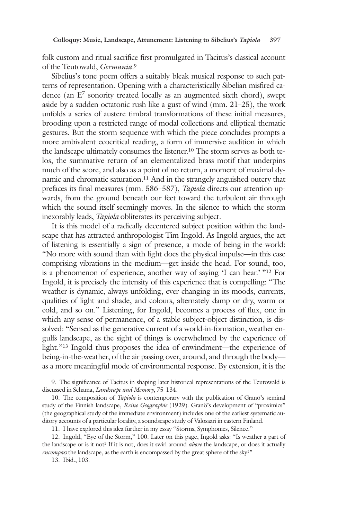folk custom and ritual sacrifice first promulgated in Tacitus's classical account of the Teutowald, *Germania*. 9

Sibelius's tone poem offers a suitably bleak musical response to such patterns of representation. Opening with a characteristically Sibelian misfired cadence (an  $E<sup>7</sup>$  sonority treated locally as an augmented sixth chord), swept aside by a sudden octatonic rush like a gust of wind (mm. 21–25), the work unfolds a series of austere timbral transformations of these initial measures, brooding upon a restricted range of modal collections and elliptical thematic gestures. But the storm sequence with which the piece concludes prompts a more ambivalent ecocritical reading, a form of immersive audition in which the landscape ultimately consumes the listener.10 The storm serves as both telos, the summative return of an elementalized brass motif that underpins much of the score, and also as a point of no return, a moment of maximal dynamic and chromatic saturation.11 And in the strangely anguished outcry that prefaces its final measures (mm. 586–587), *Tapiola* directs our attention upwards, from the ground beneath our feet toward the turbulent air through which the sound itself seemingly moves. In the silence to which the storm inexorably leads, *Tapiola* obliterates its perceiving subject.

It is this model of a radically decentered subject position within the landscape that has attracted anthropologist Tim Ingold. As Ingold argues, the act of listening is essentially a sign of presence, a mode of being-in-the-world: "No more with sound than with light does the physical impulse—in this case comprising vibrations in the medium—get inside the head. For sound, too, is a phenomenon of experience, another way of saying 'I can hear.' "12 For Ingold, it is precisely the intensity of this experience that is compelling: "The weather is dynamic, always unfolding, ever changing in its moods, currents, qualities of light and shade, and colours, alternately damp or dry, warm or cold, and so on." Listening, for Ingold, becomes a process of flux, one in which any sense of permanence, of a stable subject-object distinction, is dissolved: "Sensed as the generative current of a world-in-formation, weather engulfs landscape, as the sight of things is overwhelmed by the experience of light."13 Ingold thus proposes the idea of enwindment—the experience of being-in-the-weather, of the air passing over, around, and through the body as a more meaningful mode of environmental response. By extension, it is the

9. The significance of Tacitus in shaping later historical representations of the Teutowald is discussed in Schama, *Landscape and Memory*, 75–134.

10. The composition of *Tapiola* is contemporary with the publication of Granö's seminal study of the Finnish landscape, *Reine Geographie* (1929). Granö's development of "proximics" (the geographical study of the immediate environment) includes one of the earliest systematic auditory accounts of a particular locality, a soundscape study of Valosaari in eastern Finland.

11. I have explored this idea further in my essay "Storms, Symphonies, Silence."

12. Ingold, "Eye of the Storm," 100. Later on this page, Ingold asks: "Is weather a part of the landscape or is it not? If it is not, does it swirl around *above* the landscape, or does it actually *encompass* the landscape, as the earth is encompassed by the great sphere of the sky?"

13. Ibid., 103.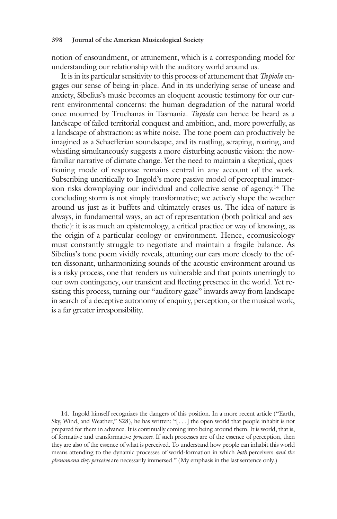notion of ensoundment, or attunement, which is a corresponding model for understanding our relationship with the auditory world around us.

It is in its particular sensitivity to this process of attunement that *Tapiola* engages our sense of being-in-place. And in its underlying sense of unease and anxiety, Sibelius's music becomes an eloquent acoustic testimony for our current environmental concerns: the human degradation of the natural world once mourned by Truchanas in Tasmania. *Tapiola* can hence be heard as a landscape of failed territorial conquest and ambition, and, more powerfully, as a landscape of abstraction: as white noise. The tone poem can productively be imagined as a Schaefferian soundscape, and its rustling, scraping, roaring, and whistling simultaneously suggests a more disturbing acoustic vision: the nowfamiliar narrative of climate change. Yet the need to maintain a skeptical, questioning mode of response remains central in any account of the work. Subscribing uncritically to Ingold's more passive model of perceptual immersion risks downplaying our individual and collective sense of agency.14 The concluding storm is not simply transformative; we actively shape the weather around us just as it buffets and ultimately erases us. The idea of nature is always, in fundamental ways, an act of representation (both political and aesthetic): it is as much an epistemology, a critical practice or way of knowing, as the origin of a particular ecology or environment. Hence, ecomusicology must constantly struggle to negotiate and maintain a fragile balance. As Sibelius's tone poem vividly reveals, attuning our ears more closely to the often dissonant, unharmonizing sounds of the acoustic environment around us is a risky process, one that renders us vulnerable and that points unerringly to our own contingency, our transient and fleeting presence in the world. Yet resisting this process, turning our "auditory gaze" inwards away from landscape in search of a deceptive autonomy of enquiry, perception, or the musical work, is a far greater irresponsibility.

14. Ingold himself recognizes the dangers of this position. In a more recent article ("Earth, Sky, Wind, and Weather," S28), he has written: "[. . .] the open world that people inhabit is not prepared for them in advance. It is continually coming into being around them. It is world, that is, of formative and transformative *processes*. If such processes are of the essence of perception, then they are also of the essence of what is perceived. To understand how people can inhabit this world means attending to the dynamic processes of world-formation in which *both* perceivers *and the phenomena they perceive* are necessarily immersed." (My emphasis in the last sentence only.)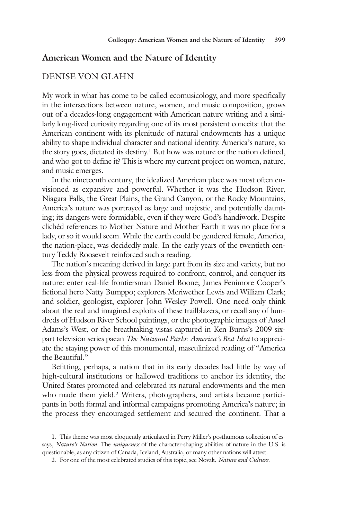## **American Women and the Nature of Identity**

## DENISE VON GLAHN

My work in what has come to be called ecomusicology, and more specifically in the intersections between nature, women, and music composition, grows out of a decades-long engagement with American nature writing and a similarly long-lived curiosity regarding one of its most persistent conceits: that the American continent with its plenitude of natural endowments has a unique ability to shape individual character and national identity. America's nature, so the story goes, dictated its destiny.<sup>1</sup> But how was nature or the nation defined, and who got to define it? This is where my current project on women, nature, and music emerges.

In the nineteenth century, the idealized American place was most often envisioned as expansive and powerful. Whether it was the Hudson River, Niagara Falls, the Great Plains, the Grand Canyon, or the Rocky Mountains, America's nature was portrayed as large and majestic, and potentially daunting; its dangers were formidable, even if they were God's handiwork. Despite clichéd references to Mother Nature and Mother Earth it was no place for a lady, or so it would seem. While the earth could be gendered female, America, the nation-place, was decidedly male. In the early years of the twentieth century Teddy Roosevelt reinforced such a reading.

The nation's meaning derived in large part from its size and variety, but no less from the physical prowess required to confront, control, and conquer its nature: enter real-life frontiersman Daniel Boone; James Fenimore Cooper's fictional hero Natty Bumppo; explorers Meriwether Lewis and William Clark; and soldier, geologist, explorer John Wesley Powell. One need only think about the real and imagined exploits of these trailblazers, or recall any of hundreds of Hudson River School paintings, or the photographic images of Ansel Adams's West, or the breathtaking vistas captured in Ken Burns's 2009 sixpart television series paean *The National Parks: America's Best Idea* to appreciate the staying power of this monumental, masculinized reading of "America the Beautiful."

Befitting, perhaps, a nation that in its early decades had little by way of high-cultural institutions or hallowed traditions to anchor its identity, the United States promoted and celebrated its natural endowments and the men who made them yield.<sup>2</sup> Writers, photographers, and artists became participants in both formal and informal campaigns promoting America's nature; in the process they encouraged settlement and secured the continent. That a

1. This theme was most eloquently articulated in Perry Miller's posthumous collection of essays, *Nature's Nation*. The *uniqueness* of the character-shaping abilities of nature in the U.S. is questionable, as any citizen of Canada, Iceland, Australia, or many other nations will attest.

2. For one of the most celebrated studies of this topic, see Novak, *Nature and Culture*.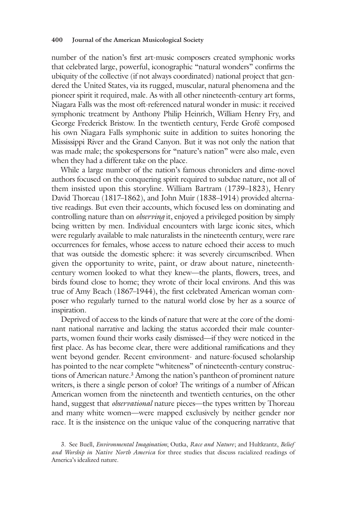number of the nation's first art-music composers created symphonic works that celebrated large, powerful, iconographic "natural wonders" confirms the ubiquity of the collective (if not always coordinated) national project that gendered the United States, via its rugged, muscular, natural phenomena and the pioneer spirit it required, male. As with all other nineteenth-century art forms, Niagara Falls was the most oft-referenced natural wonder in music: it received symphonic treatment by Anthony Philip Heinrich, William Henry Fry, and George Frederick Bristow. In the twentieth century, Ferde Grofé composed his own Niagara Falls symphonic suite in addition to suites honoring the Mississippi River and the Grand Canyon. But it was not only the nation that was made male; the spokespersons for "nature's nation" were also male, even when they had a different take on the place.

While a large number of the nation's famous chroniclers and dime-novel authors focused on the conquering spirit required to subdue nature, not all of them insisted upon this storyline. William Bartram (1739–1823), Henry David Thoreau (1817–1862), and John Muir (1838–1914) provided alternative readings. But even their accounts, which focused less on dominating and controlling nature than on *observing* it, enjoyed a privileged position by simply being written by men. Individual encounters with large iconic sites, which were regularly available to male naturalists in the nineteenth century, were rare occurrences for females, whose access to nature echoed their access to much that was outside the domestic sphere: it was severely circumscribed. When given the opportunity to write, paint, or draw about nature, nineteenthcentury women looked to what they knew—the plants, flowers, trees, and birds found close to home; they wrote of their local environs. And this was true of Amy Beach (1867–1944), the first celebrated American woman composer who regularly turned to the natural world close by her as a source of inspiration.

Deprived of access to the kinds of nature that were at the core of the dominant national narrative and lacking the status accorded their male counterparts, women found their works easily dismissed—if they were noticed in the first place. As has become clear, there were additional ramifications and they went beyond gender. Recent environment- and nature-focused scholarship has pointed to the near complete "whiteness" of nineteenth-century constructions of American nature.<sup>3</sup> Among the nation's pantheon of prominent nature writers, is there a single person of color? The writings of a number of African American women from the nineteenth and twentieth centuries, on the other hand, suggest that *observational* nature pieces—the types written by Thoreau and many white women—were mapped exclusively by neither gender nor race. It is the insistence on the unique value of the conquering narrative that

3. See Buell, *Environmental Imagination*; Outka, *Race and Nature*; and Hultkrantz, *Belief and Worship in Native North America* for three studies that discuss racialized readings of America's idealized nature.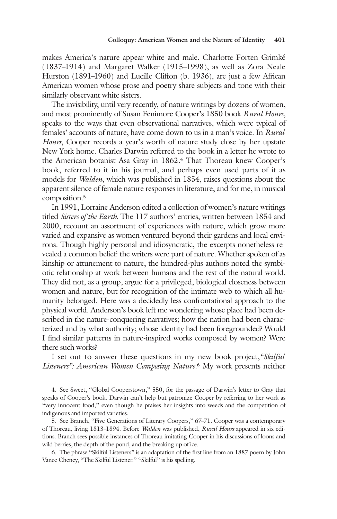makes America's nature appear white and male. Charlotte Forten Grimké (1837–1914) and Margaret Walker (1915–1998), as well as Zora Neale Hurston (1891–1960) and Lucille Clifton (b. 1936), are just a few African American women whose prose and poetry share subjects and tone with their similarly observant white sisters.

The invisibility, until very recently, of nature writings by dozens of women, and most prominently of Susan Fenimore Cooper's 1850 book *Rural Hours*, speaks to the ways that even observational narratives, which were typical of females' accounts of nature, have come down to us in a man's voice. In *Rural Hours*, Cooper records a year's worth of nature study close by her upstate New York home. Charles Darwin referred to the book in a letter he wrote to the American botanist Asa Gray in 1862.4 That Thoreau knew Cooper's book, referred to it in his journal, and perhaps even used parts of it as models for *Walden*, which was published in 1854, raises questions about the apparent silence of female nature responses in literature, and for me, in musical composition.5

In 1991, Lorraine Anderson edited a collection of women's nature writings titled *Sisters of the Earth*. The 117 authors' entries, written between 1854 and 2000, recount an assortment of experiences with nature, which grow more varied and expansive as women ventured beyond their gardens and local environs. Though highly personal and idiosyncratic, the excerpts nonetheless revealed a common belief: the writers were part of nature. Whether spoken of as kinship or attunement to nature, the hundred-plus authors noted the symbiotic relationship at work between humans and the rest of the natural world. They did not, as a group, argue for a privileged, biological closeness between women and nature, but for recognition of the intimate web to which all humanity belonged. Here was a decidedly less confrontational approach to the physical world. Anderson's book left me wondering whose place had been described in the nature-conquering narratives; how the nation had been characterized and by what authority; whose identity had been foregrounded? Would I find similar patterns in nature-inspired works composed by women? Were there such works?

I set out to answer these questions in my new book project,*"Skilful Listeners": American Women Composing Nature*. <sup>6</sup> My work presents neither

4. See Sweet, "Global Cooperstown," 550, for the passage of Darwin's letter to Gray that speaks of Cooper's book. Darwin can't help but patronize Cooper by referring to her work as "very innocent food," even though he praises her insights into weeds and the competition of indigenous and imported varieties.

5. See Branch, "Five Generations of Literary Coopers," 67–71. Cooper was a contemporary of Thoreau, living 1813–1894. Before *Walden* was published, *Rural Hours* appeared in six editions. Branch sees possible instances of Thoreau imitating Cooper in his discussions of loons and wild berries, the depth of the pond, and the breaking up of ice.

6. The phrase "Skilful Listeners" is an adaptation of the first line from an 1887 poem by John Vance Cheney, "The Skilful Listener." "Skilful" is his spelling.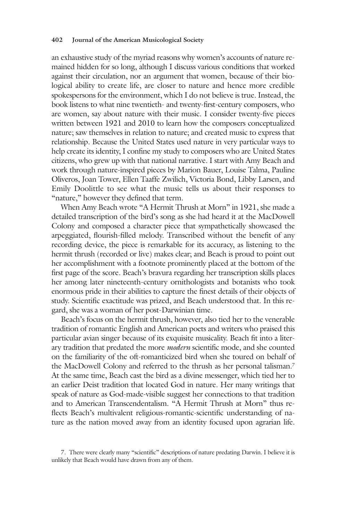an exhaustive study of the myriad reasons why women's accounts of nature remained hidden for so long, although I discuss various conditions that worked against their circulation, nor an argument that women, because of their biological ability to create life, are closer to nature and hence more credible spokespersons for the environment, which I do not believe is true. Instead, the book listens to what nine twentieth- and twenty-first-century composers, who are women, say about nature with their music. I consider twenty-five pieces written between 1921 and 2010 to learn how the composers conceptualized nature; saw themselves in relation to nature; and created music to express that relationship. Because the United States used nature in very particular ways to help create its identity, I confine my study to composers who are United States citizens, who grew up with that national narrative. I start with Amy Beach and work through nature-inspired pieces by Marion Bauer, Louise Talma, Pauline Oliveros, Joan Tower, Ellen Taaffe Zwilich, Victoria Bond, Libby Larsen, and Emily Doolittle to see what the music tells us about their responses to "nature," however they defined that term.

When Amy Beach wrote "A Hermit Thrush at Morn" in 1921, she made a detailed transcription of the bird's song as she had heard it at the MacDowell Colony and composed a character piece that sympathetically showcased the arpeggiated, flourish-filled melody. Transcribed without the benefit of any recording device, the piece is remarkable for its accuracy, as listening to the hermit thrush (recorded or live) makes clear; and Beach is proud to point out her accomplishment with a footnote prominently placed at the bottom of the first page of the score. Beach's bravura regarding her transcription skills places her among later nineteenth-century ornithologists and botanists who took enormous pride in their abilities to capture the finest details of their objects of study. Scientific exactitude was prized, and Beach understood that. In this regard, she was a woman of her post-Darwinian time.

Beach's focus on the hermit thrush, however, also tied her to the venerable tradition of romantic English and American poets and writers who praised this particular avian singer because of its exquisite musicality. Beach fit into a literary tradition that predated the more *modern* scientific mode, and she counted on the familiarity of the oft-romanticized bird when she toured on behalf of the MacDowell Colony and referred to the thrush as her personal talisman.7 At the same time, Beach cast the bird as a divine messenger, which tied her to an earlier Deist tradition that located God in nature. Her many writings that speak of nature as God-made-visible suggest her connections to that tradition and to American Transcendentalism. "A Hermit Thrush at Morn" thus reflects Beach's multivalent religious-romantic-scientific understanding of nature as the nation moved away from an identity focused upon agrarian life.

<sup>7.</sup> There were clearly many "scientific" descriptions of nature predating Darwin. I believe it is unlikely that Beach would have drawn from any of them.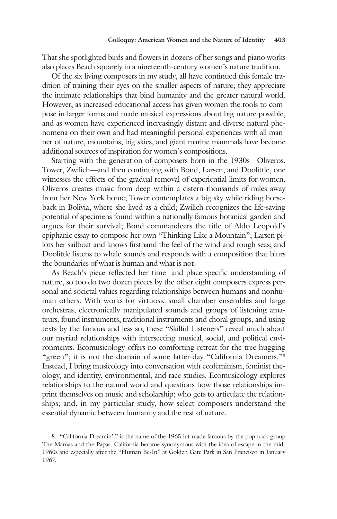That she spotlighted birds and flowers in dozens of her songs and piano works also places Beach squarely in a nineteenth-century women's nature tradition.

Of the six living composers in my study, all have continued this female tradition of training their eyes on the smaller aspects of nature; they appreciate the intimate relationships that bind humanity and the greater natural world. However, as increased educational access has given women the tools to compose in larger forms and made musical expressions about big nature possible, and as women have experienced increasingly distant and diverse natural phenomena on their own and had meaningful personal experiences with all manner of nature, mountains, big skies, and giant marine mammals have become additional sources of inspiration for women's compositions.

Starting with the generation of composers born in the 1930s—Oliveros, Tower, Zwilich—and then continuing with Bond, Larsen, and Doolittle, one witnesses the effects of the gradual removal of experiential limits for women. Oliveros creates music from deep within a cistern thousands of miles away from her New York home; Tower contemplates a big sky while riding horseback in Bolivia, where she lived as a child; Zwilich recognizes the life-saving potential of specimens found within a nationally famous botanical garden and argues for their survival; Bond commandeers the title of Aldo Leopold's epiphanic essay to compose her own "Thinking Like a Mountain"; Larsen pilots her sailboat and knows firsthand the feel of the wind and rough seas; and Doolittle listens to whale sounds and responds with a composition that blurs the boundaries of what is human and what is not.

As Beach's piece reflected her time- and place-specific understanding of nature, so too do two dozen pieces by the other eight composers express personal and societal values regarding relationships between humans and nonhuman others. With works for virtuosic small chamber ensembles and large orchestras, electronically manipulated sounds and groups of listening amateurs, found instruments, traditional instruments and choral groups, and using texts by the famous and less so, these "Skilful Listeners" reveal much about our myriad relationships with intersecting musical, social, and political environments. Ecomusicology offers no comforting retreat for the tree-hugging "green"; it is not the domain of some latter-day "California Dreamers."<sup>8</sup> Instead, I bring musicology into conversation with ecofeminism, feminist theology, and identity, environmental, and race studies. Ecomusicology explores relationships to the natural world and questions how those relationships imprint themselves on music and scholarship; who gets to articulate the relationships; and, in my particular study, how select composers understand the essential dynamic between humanity and the rest of nature.

<sup>8. &</sup>quot;California Dreamin' " is the name of the 1965 hit made famous by the pop-rock group The Mamas and the Papas. California became synonymous with the idea of escape in the mid-1960s and especially after the "Human Be-In" at Golden Gate Park in San Francisco in January 1967.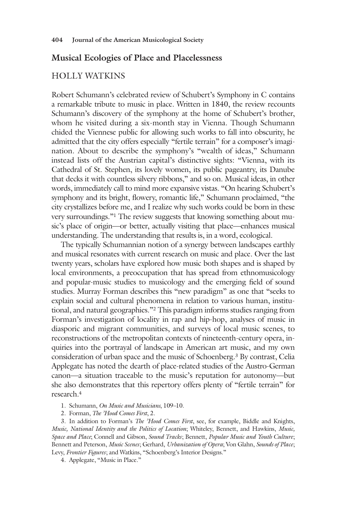#### **Musical Ecologies of Place and Placelessness**

## HOLLY WATKINS

Robert Schumann's celebrated review of Schubert's Symphony in C contains a remarkable tribute to music in place. Written in 1840, the review recounts Schumann's discovery of the symphony at the home of Schubert's brother, whom he visited during a six-month stay in Vienna. Though Schumann chided the Viennese public for allowing such works to fall into obscurity, he admitted that the city offers especially "fertile terrain" for a composer's imagination. About to describe the symphony's "wealth of ideas," Schumann instead lists off the Austrian capital's distinctive sights: "Vienna, with its Cathedral of St. Stephen, its lovely women, its public pageantry, its Danube that decks it with countless silvery ribbons," and so on. Musical ideas, in other words, immediately call to mind more expansive vistas. "On hearing Schubert's symphony and its bright, flowery, romantic life," Schumann proclaimed, "the city crystallizes before me, and I realize why such works could be born in these very surroundings."<sup>1</sup> The review suggests that knowing something about music's place of origin—or better, actually visiting that place—enhances musical understanding. The understanding that results is, in a word, ecological.

The typically Schumannian notion of a synergy between landscapes earthly and musical resonates with current research on music and place. Over the last twenty years, scholars have explored how music both shapes and is shaped by local environments, a preoccupation that has spread from ethnomusicology and popular-music studies to musicology and the emerging field of sound studies. Murray Forman describes this "new paradigm" as one that "seeks to explain social and cultural phenomena in relation to various human, institutional, and natural geographies."2 This paradigm informs studies ranging from Forman's investigation of locality in rap and hip-hop, analyses of music in diasporic and migrant communities, and surveys of local music scenes, to reconstructions of the metropolitan contexts of nineteenth-century opera, inquiries into the portrayal of landscape in American art music, and my own consideration of urban space and the music of Schoenberg.3 By contrast, Celia Applegate has noted the dearth of place-related studies of the Austro-German canon—a situation traceable to the music's reputation for autonomy—but she also demonstrates that this repertory offers plenty of "fertile terrain" for research.4

- 1. Schumann, *On Music and Musicians*, 109–10.
- 2. Forman, *The 'Hood Comes First*, 2.

3. In addition to Forman's *The 'Hood Comes First*, see, for example, Biddle and Knights, *Music, National Identity and the Politics of Location*; Whiteley, Bennett, and Hawkins, *Music, Space and Place*; Connell and Gibson, *Sound Tracks*; Bennett, *Popular Music and Youth Culture*; Bennett and Peterson, *Music Scenes*; Gerhard, *Urbanization of Opera*; Von Glahn, *Sounds of Place*; Levy, *Frontier Figures*; and Watkins, "Schoenberg's Interior Designs."

4. Applegate, "Music in Place."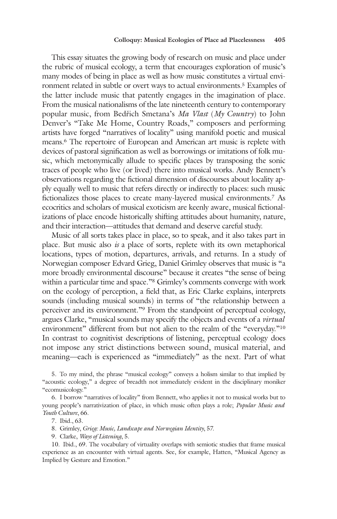This essay situates the growing body of research on music and place under the rubric of musical ecology, a term that encourages exploration of music's many modes of being in place as well as how music constitutes a virtual environment related in subtle or overt ways to actual environments.5 Examples of the latter include music that patently engages in the imagination of place. From the musical nationalisms of the late nineteenth century to contemporary popular music, from Bedřich Smetana's *Ma Vlast* (*My Country*) to John Denver's "Take Me Home, Country Roads," composers and performing artists have forged "narratives of locality" using manifold poetic and musical means.6 The repertoire of European and American art music is replete with devices of pastoral signification as well as borrowings or imitations of folk music, which metonymically allude to specific places by transposing the sonic traces of people who live (or lived) there into musical works. Andy Bennett's observations regarding the fictional dimension of discourses about locality apply equally well to music that refers directly or indirectly to places: such music fictionalizes those places to create many-layered musical environments.7 As ecocritics and scholars of musical exoticism are keenly aware, musical fictionalizations of place encode historically shifting attitudes about humanity, nature, and their interaction—attitudes that demand and deserve careful study.

Music of all sorts takes place in place, so to speak, and it also takes part in place. But music also *is* a place of sorts, replete with its own metaphorical locations, types of motion, departures, arrivals, and returns. In a study of Norwegian composer Edvard Grieg, Daniel Grimley observes that music is "a more broadly environmental discourse" because it creates "the sense of being within a particular time and space."<sup>8</sup> Grimley's comments converge with work on the ecology of perception, a field that, as Eric Clarke explains, interprets sounds (including musical sounds) in terms of "the relationship between a perceiver and its environment."9 From the standpoint of perceptual ecology, argues Clarke, "musical sounds may specify the objects and events of a *virtual* environment" different from but not alien to the realm of the "everyday."10 In contrast to cognitivist descriptions of listening, perceptual ecology does not impose any strict distinctions between sound, musical material, and meaning—each is experienced as "immediately" as the next. Part of what

5. To my mind, the phrase "musical ecology" conveys a holism similar to that implied by "acoustic ecology," a degree of breadth not immediately evident in the disciplinary moniker "ecomusicology."

6. I borrow "narratives of locality" from Bennett, who applies it not to musical works but to young people's narrativization of place, in which music often plays a role; *Popular Music and Youth Culture*, 66.

7. Ibid., 63.

8. Grimley, *Grieg: Music, Landscape and Norwegian Identity*, 57.

9. Clarke, *Ways of Listening*, 5.

10. Ibid., 69. The vocabulary of virtuality overlaps with semiotic studies that frame musical experience as an encounter with virtual agents. See, for example, Hatten, "Musical Agency as Implied by Gesture and Emotion."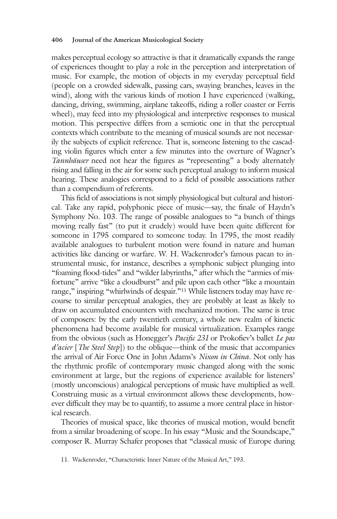makes perceptual ecology so attractive is that it dramatically expands the range of experiences thought to play a role in the perception and interpretation of music. For example, the motion of objects in my everyday perceptual field (people on a crowded sidewalk, passing cars, swaying branches, leaves in the wind), along with the various kinds of motion I have experienced (walking, dancing, driving, swimming, airplane takeoffs, riding a roller coaster or Ferris wheel), may feed into my physiological and interpretive responses to musical motion. This perspective differs from a semiotic one in that the perceptual contexts which contribute to the meaning of musical sounds are not necessarily the subjects of explicit reference. That is, someone listening to the cascading violin figures which enter a few minutes into the overture of Wagner's *Tannhäuser* need not hear the figures as "representing" a body alternately rising and falling in the air for some such perceptual analogy to inform musical hearing. These analogies correspond to a field of possible associations rather than a compendium of referents.

This field of associations is not simply physiological but cultural and historical. Take any rapid, polyphonic piece of music—say, the finale of Haydn's Symphony No. 103. The range of possible analogues to "a bunch of things moving really fast" (to put it crudely) would have been quite different for someone in 1795 compared to someone today. In 1795, the most readily available analogues to turbulent motion were found in nature and human activities like dancing or warfare. W. H. Wackenroder's famous paean to instrumental music, for instance, describes a symphonic subject plunging into "foaming flood-tides" and "wilder labyrinths," after which the "armies of misfortune" arrive "like a cloudburst" and pile upon each other "like a mountain range," inspiring "whirlwinds of despair."<sup>11</sup> While listeners today may have recourse to similar perceptual analogies, they are probably at least as likely to draw on accumulated encounters with mechanized motion. The same is true of composers: by the early twentieth century, a whole new realm of kinetic phenomena had become available for musical virtualization. Examples range from the obvious (such as Honegger's *Pacific 231* or Prokofiev's ballet *Le pas d'acier* [*The Steel Step*]) to the oblique—think of the music that accompanies the arrival of Air Force One in John Adams's *Nixon in China*. Not only has the rhythmic profile of contemporary music changed along with the sonic environment at large, but the regions of experience available for listeners' (mostly unconscious) analogical perceptions of music have multiplied as well. Construing music as a virtual environment allows these developments, however difficult they may be to quantify, to assume a more central place in historical research.

Theories of musical space, like theories of musical motion, would benefit from a similar broadening of scope. In his essay "Music and the Soundscape," composer R. Murray Schafer proposes that "classical music of Europe during

<sup>11.</sup> Wackenroder, "Characteristic Inner Nature of the Musical Art," 193.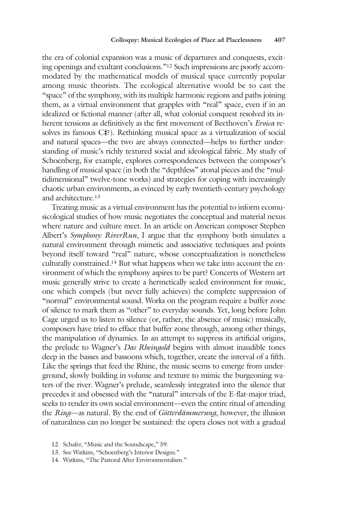the era of colonial expansion was a music of departures and conquests, exciting openings and exultant conclusions."12 Such impressions are poorly accommodated by the mathematical models of musical space currently popular among music theorists. The ecological alternative would be to cast the "space" of the symphony, with its multiple harmonic regions and paths joining them, as a virtual environment that grapples with "real" space, even if in an idealized or fictional manner (after all, what colonial conquest resolved its inherent tensions as definitively as the first movement of Beethoven's *Eroica* resolves its famous C#?). Rethinking musical space as a virtualization of social and natural spaces—the two are always connected—helps to further understanding of music's richly textured social and ideological fabric. My study of Schoenberg, for example, explores correspondences between the composer's handling of musical space (in both the "depthless" atonal pieces and the "multidimensional" twelve-tone works) and strategies for coping with increasingly chaotic urban environments, as evinced by early twentieth-century psychology and architecture.13

Treating music as a virtual environment has the potential to inform ecomusicological studies of how music negotiates the conceptual and material nexus where nature and culture meet. In an article on American composer Stephen Albert's *Symphony: RiverRun*, I argue that the symphony both simulates a natural environment through mimetic and associative techniques and points beyond itself toward "real" nature, whose conceptualization is nonetheless culturally constrained.14 But what happens when we take into account the environment of which the symphony aspires to be part? Concerts of Western art music generally strive to create a hermetically sealed environment for music, one which compels (but never fully achieves) the complete suppression of "normal" environmental sound. Works on the program require a buffer zone of silence to mark them as "other" to everyday sounds. Yet, long before John Cage urged us to listen to silence (or, rather, the absence of music) musically, composers have tried to efface that buffer zone through, among other things, the manipulation of dynamics. In an attempt to suppress its artificial origins, the prelude to Wagner's *Das Rheingold* begins with almost inaudible tones deep in the basses and bassoons which, together, create the interval of a fifth. Like the springs that feed the Rhine, the music seems to emerge from underground, slowly building in volume and texture to mimic the burgeoning waters of the river. Wagner's prelude, seamlessly integrated into the silence that precedes it and obsessed with the "natural" intervals of the E-flat-major triad, seeks to render its own social environment—even the entire ritual of attending the *Ring*—as natural. By the end of *Götterdämmerung*, however, the illusion of naturalness can no longer be sustained: the opera closes not with a gradual

- 12. Schafer, "Music and the Soundscape," 59.
- 13. See Watkins, "Schoenberg's Interior Designs."
- 14. Watkins, "The Pastoral After Environmentalism."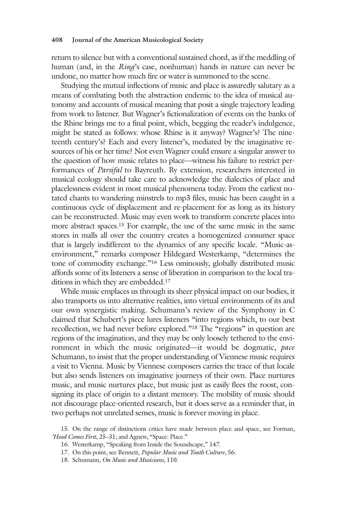return to silence but with a conventional sustained chord, as if the meddling of human (and, in the *Ring*'s case, nonhuman) hands in nature can never be undone, no matter how much fire or water is summoned to the scene.

Studying the mutual inflections of music and place is assuredly salutary as a means of combating both the abstraction endemic to the idea of musical autonomy and accounts of musical meaning that posit a single trajectory leading from work to listener. But Wagner's fictionalization of events on the banks of the Rhine brings me to a final point, which, begging the reader's indulgence, might be stated as follows: whose Rhine is it anyway? Wagner's? The nineteenth century's? Each and every listener's, mediated by the imaginative resources of his or her time? Not even Wagner could ensure a singular answer to the question of how music relates to place—witness his failure to restrict performances of *Parsifal* to Bayreuth. By extension, researchers interested in musical ecology should take care to acknowledge the dialectics of place and placelessness evident in most musical phenomena today. From the earliest notated chants to wandering minstrels to mp3 files, music has been caught in a continuous cycle of displacement and re-placement for as long as its history can be reconstructed. Music may even work to transform concrete places into more abstract spaces.15 For example, the use of the same music in the same stores in malls all over the country creates a homogenized consumer space that is largely indifferent to the dynamics of any specific locale. "Music-asenvironment," remarks composer Hildegard Westerkamp, "determines the tone of commodity exchange."16 Less ominously, globally distributed music affords some of its listeners a sense of liberation in comparison to the local traditions in which they are embedded.<sup>17</sup>

While music emplaces us through its sheer physical impact on our bodies, it also transports us into alternative realities, into virtual environments of its and our own synergistic making. Schumann's review of the Symphony in C claimed that Schubert's piece lures listeners "into regions which, to our best recollection, we had never before explored."18 The "regions" in question are regions of the imagination, and they may be only loosely tethered to the environment in which the music originated—it would be dogmatic, *pace* Schumann, to insist that the proper understanding of Viennese music requires a visit to Vienna. Music by Viennese composers carries the trace of that locale but also sends listeners on imaginative journeys of their own. Place nurtures music, and music nurtures place, but music just as easily flees the roost, consigning its place of origin to a distant memory. The mobility of music should not discourage place-oriented research, but it does serve as a reminder that, in two perhaps not unrelated senses, music is forever moving in place.

18. Schumann, *On Music and Musicians*, 110.

<sup>15.</sup> On the range of distinctions critics have made between place and space, see Forman, *'Hood Comes First*, 25–31; and Agnew, "Space: Place."

<sup>16.</sup> Westerkamp, "Speaking from Inside the Soundscape," 147.

<sup>17.</sup> On this point, see Bennett, *Popular Music and Youth Culture*, 56.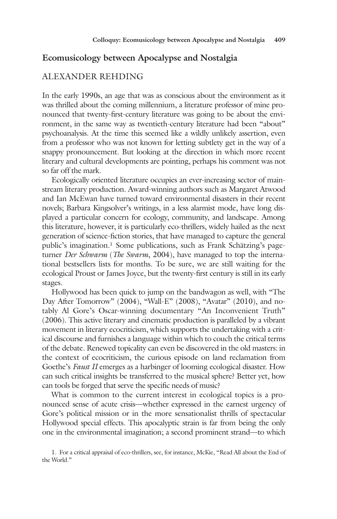## **Ecomusicology between Apocalypse and Nostalgia**

## ALEXANDER REHDING

In the early 1990s, an age that was as conscious about the environment as it was thrilled about the coming millennium, a literature professor of mine pronounced that twenty-first-century literature was going to be about the environment, in the same way as twentieth-century literature had been "about" psychoanalysis. At the time this seemed like a wildly unlikely assertion, even from a professor who was not known for letting subtlety get in the way of a snappy pronouncement. But looking at the direction in which more recent literary and cultural developments are pointing, perhaps his comment was not so far off the mark.

Ecologically oriented literature occupies an ever-increasing sector of mainstream literary production. Award-winning authors such as Margaret Atwood and Ian McEwan have turned toward environmental disasters in their recent novels; Barbara Kingsolver's writings, in a less alarmist mode, have long displayed a particular concern for ecology, community, and landscape. Among this literature, however, it is particularly eco-thrillers, widely hailed as the next generation of science-fiction stories, that have managed to capture the general public's imagination.<sup>1</sup> Some publications, such as Frank Schätzing's pageturner *Der Schwarm* (*The Swarm*, 2004), have managed to top the international bestsellers lists for months. To be sure, we are still waiting for the ecological Proust or James Joyce, but the twenty-first century is still in its early stages.

Hollywood has been quick to jump on the bandwagon as well, with "The Day After Tomorrow" (2004), "Wall-E" (2008), "Avatar" (2010), and notably Al Gore's Oscar-winning documentary "An Inconvenient Truth" (2006). This active literary and cinematic production is paralleled by a vibrant movement in literary ecocriticism, which supports the undertaking with a critical discourse and furnishes a language within which to couch the critical terms of the debate. Renewed topicality can even be discovered in the old masters: in the context of ecocriticism, the curious episode on land reclamation from Goethe's *Faust II* emerges as a harbinger of looming ecological disaster. How can such critical insights be transferred to the musical sphere? Better yet, how can tools be forged that serve the specific needs of music?

What is common to the current interest in ecological topics is a pronounced sense of acute crisis—whether expressed in the earnest urgency of Gore's political mission or in the more sensationalist thrills of spectacular Hollywood special effects. This apocalyptic strain is far from being the only one in the environmental imagination; a second prominent strand—to which

1. For a critical appraisal of eco-thrillers, see, for instance, McKie, "Read All about the End of the World."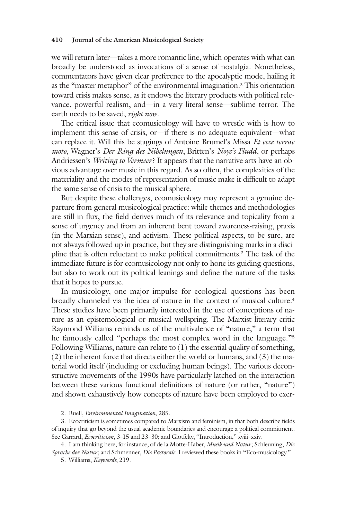we will return later—takes a more romantic line, which operates with what can broadly be understood as invocations of a sense of nostalgia. Nonetheless, commentators have given clear preference to the apocalyptic mode, hailing it as the "master metaphor" of the environmental imagination.2 This orientation toward crisis makes sense, as it endows the literary products with political relevance, powerful realism, and—in a very literal sense—sublime terror. The earth needs to be saved, *right now*.

The critical issue that ecomusicology will have to wrestle with is how to implement this sense of crisis, or—if there is no adequate equivalent—what can replace it. Will this be stagings of Antoine Brumel's Missa *Et ecce terrae moto*, Wagner's *Der Ring des Nibelungen*, Britten's *Noye's Fludd*, or perhaps Andriessen's *Writing to Vermeer*? It appears that the narrative arts have an obvious advantage over music in this regard. As so often, the complexities of the materiality and the modes of representation of music make it difficult to adapt the same sense of crisis to the musical sphere.

But despite these challenges, ecomusicology may represent a genuine departure from general musicological practice: while themes and methodologies are still in flux, the field derives much of its relevance and topicality from a sense of urgency and from an inherent bent toward awareness-raising, praxis (in the Marxian sense), and activism. These political aspects, to be sure, are not always followed up in practice, but they are distinguishing marks in a discipline that is often reluctant to make political commitments.3 The task of the immediate future is for ecomusicology not only to hone its guiding questions, but also to work out its political leanings and define the nature of the tasks that it hopes to pursue.

In musicology, one major impulse for ecological questions has been broadly channeled via the idea of nature in the context of musical culture.<sup>4</sup> These studies have been primarily interested in the use of conceptions of nature as an epistemological or musical wellspring. The Marxist literary critic Raymond Williams reminds us of the multivalence of "nature," a term that he famously called "perhaps the most complex word in the language."<sup>5</sup> Following Williams, nature can relate to (1) the essential quality of something, (2) the inherent force that directs either the world or humans, and (3) the material world itself (including or excluding human beings). The various deconstructive movements of the 1990s have particularly latched on the interaction between these various functional definitions of nature (or rather, "nature") and shown exhaustively how concepts of nature have been employed to exer-

2. Buell, *Environmental Imagination*, 285.

3. Ecocriticism is sometimes compared to Marxism and feminism, in that both describe fields of inquiry that go beyond the usual academic boundaries and encourage a political commitment. See Garrard, *Ecocriticism*, 3–15 and 23–30; and Glotfelty, "Introduction," xviii–xxiv.

4. I am thinking here, for instance, of de la Motte-Haber, *Musik und Natur*; Schleuning, *Die Sprache der Natur*; and Schmenner, *Die Pastorale*. I reviewed these books in "Eco-musicology."

5. Williams, *Keywords*, 219.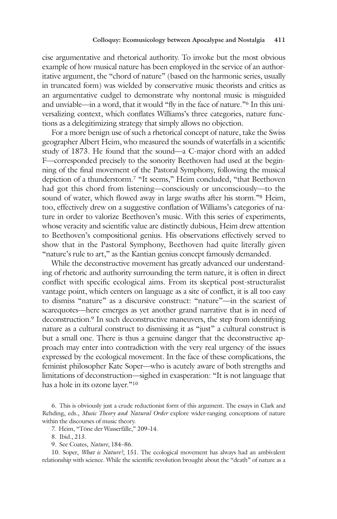cise argumentative and rhetorical authority. To invoke but the most obvious example of how musical nature has been employed in the service of an authoritative argument, the "chord of nature" (based on the harmonic series, usually in truncated form) was wielded by conservative music theorists and critics as an argumentative cudgel to demonstrate why nontonal music is misguided and unviable—in a word, that it would "fly in the face of nature."6 In this universalizing context, which conflates Williams's three categories, nature functions as a delegitimizing strategy that simply allows no objection.

For a more benign use of such a rhetorical concept of nature, take the Swiss geographer Albert Heim, who measured the sounds of waterfalls in a scientific study of 1873. He found that the sound—a C-major chord with an added F—corresponded precisely to the sonority Beethoven had used at the beginning of the final movement of the Pastoral Symphony, following the musical depiction of a thunderstorm.7 "It seems," Heim concluded, "that Beethoven had got this chord from listening—consciously or unconsciously—to the sound of water, which flowed away in large swaths after his storm."8 Heim, too, effectively drew on a suggestive conflation of Williams's categories of nature in order to valorize Beethoven's music. With this series of experiments, whose veracity and scientific value are distinctly dubious, Heim drew attention to Beethoven's compositional genius. His observations effectively served to show that in the Pastoral Symphony, Beethoven had quite literally given "nature's rule to art," as the Kantian genius concept famously demanded.

While the deconstructive movement has greatly advanced our understanding of rhetoric and authority surrounding the term nature, it is often in direct conflict with specific ecological aims. From its skeptical post-structuralist vantage point, which centers on language as a site of conflict, it is all too easy to dismiss "nature" as a discursive construct: "nature"—in the scariest of scarequotes—here emerges as yet another grand narrative that is in need of deconstruction.9 In such deconstructive maneuvers, the step from identifying nature as a cultural construct to dismissing it as "just" a cultural construct is but a small one. There is thus a genuine danger that the deconstructive approach may enter into contradiction with the very real urgency of the issues expressed by the ecological movement. In the face of these complications, the feminist philosopher Kate Soper—who is acutely aware of both strengths and limitations of deconstruction—sighed in exasperation: "It is not language that has a hole in its ozone layer."10

10. Soper, *What is Nature?*, 151. The ecological movement has always had an ambivalent relationship with science. While the scientific revolution brought about the "death" of nature as a

<sup>6.</sup> This is obviously just a crude reductionist form of this argument. The essays in Clark and Rehding, eds., *Music Theory and Natural Order* explore wider-ranging conceptions of nature within the discourses of music theory.

<sup>7.</sup> Heim, "Töne der Wasserfälle," 209–14.

<sup>8.</sup> Ibid., 213.

<sup>9.</sup> See Coates, *Nature*, 184–86.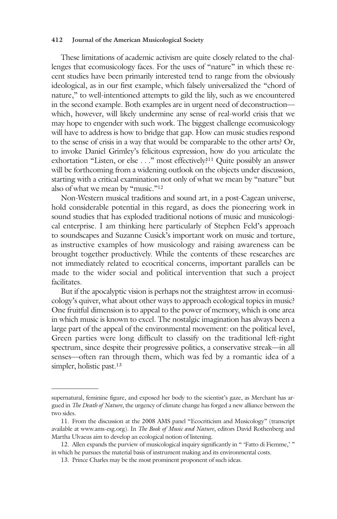These limitations of academic activism are quite closely related to the challenges that ecomusicology faces. For the uses of "nature" in which these recent studies have been primarily interested tend to range from the obviously ideological, as in our first example, which falsely universalized the "chord of nature," to well-intentioned attempts to gild the lily, such as we encountered in the second example. Both examples are in urgent need of deconstruction which, however, will likely undermine any sense of real-world crisis that we may hope to engender with such work. The biggest challenge ecomusicology will have to address is how to bridge that gap. How can music studies respond to the sense of crisis in a way that would be comparable to the other arts? Or, to invoke Daniel Grimley's felicitous expression, how do you articulate the exhortation "Listen, or else . . ." most effectively?11 Quite possibly an answer will be forthcoming from a widening outlook on the objects under discussion, starting with a critical examination not only of what we mean by "nature" but also of what we mean by "music."12

Non-Western musical traditions and sound art, in a post-Cagean universe, hold considerable potential in this regard, as does the pioneering work in sound studies that has exploded traditional notions of music and musicological enterprise. I am thinking here particularly of Stephen Feld's approach to soundscapes and Suzanne Cusick's important work on music and torture, as instructive examples of how musicology and raising awareness can be brought together productively. While the contents of these researches are not immediately related to ecocritical concerns, important parallels can be made to the wider social and political intervention that such a project facilitates.

But if the apocalyptic vision is perhaps not the straightest arrow in ecomusicology's quiver, what about other ways to approach ecological topics in music? One fruitful dimension is to appeal to the power of memory, which is one area in which music is known to excel. The nostalgic imagination has always been a large part of the appeal of the environmental movement: on the political level, Green parties were long difficult to classify on the traditional left-right spectrum, since despite their progressive politics, a conservative streak—in all senses—often ran through them, which was fed by a romantic idea of a simpler, holistic past.<sup>13</sup>

supernatural, feminine figure, and exposed her body to the scientist's gaze, as Merchant has argued in *The Death of Nature*, the urgency of climate change has forged a new alliance between the two sides.

<sup>11.</sup> From the discussion at the 2008 AMS panel "Ecocriticism and Musicology" (transcript available at www.ams-esg.org). In *The Book of Music and Nature*, editors David Rothenberg and Martha Ulvaeus aim to develop an ecological notion of listening.

<sup>12.</sup> Allen expands the purview of musicological inquiry significantly in " 'Fatto di Fiemme,' " in which he pursues the material basis of instrument making and its environmental costs.

<sup>13.</sup> Prince Charles may be the most prominent proponent of such ideas.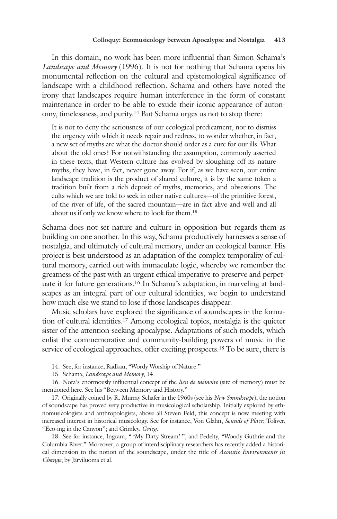In this domain, no work has been more influential than Simon Schama's *Landscape and Memory* (1996). It is not for nothing that Schama opens his monumental reflection on the cultural and epistemological significance of landscape with a childhood reflection. Schama and others have noted the irony that landscapes require human interference in the form of constant maintenance in order to be able to exude their iconic appearance of autonomy, timelessness, and purity.14 But Schama urges us not to stop there:

It is not to deny the seriousness of our ecological predicament, nor to dismiss the urgency with which it needs repair and redress, to wonder whether, in fact, a new set of myths are what the doctor should order as a cure for our ills. What about the old ones? For notwithstanding the assumption, commonly asserted in these texts, that Western culture has evolved by sloughing off its nature myths, they have, in fact, never gone away. For if, as we have seen, our entire landscape tradition is the product of shared culture, it is by the same token a tradition built from a rich deposit of myths, memories, and obsessions. The cults which we are told to seek in other native cultures—of the primitive forest, of the river of life, of the sacred mountain—are in fact alive and well and all about us if only we know where to look for them.15

Schama does not set nature and culture in opposition but regards them as building on one another. In this way, Schama productively harnesses a sense of nostalgia, and ultimately of cultural memory, under an ecological banner. His project is best understood as an adaptation of the complex temporality of cultural memory, carried out with immaculate logic, whereby we remember the greatness of the past with an urgent ethical imperative to preserve and perpetuate it for future generations.16 In Schama's adaptation, in marveling at landscapes as an integral part of our cultural identities, we begin to understand how much else we stand to lose if those landscapes disappear.

Music scholars have explored the significance of soundscapes in the formation of cultural identities.17 Among ecological topics, nostalgia is the quieter sister of the attention-seeking apocalypse. Adaptations of such models, which enlist the commemorative and community-building powers of music in the service of ecological approaches, offer exciting prospects.18 To be sure, there is

14. See, for instance, Radkau, "Wordy Worship of Nature."

15. Schama, *Landscape and Memory*, 14.

16. Nora's enormously influential concept of the *lieu de mémoire* (site of memory) must be mentioned here. See his "Between Memory and History."

17. Originally coined by R. Murray Schafer in the 1960s (see his *New Soundscape*), the notion of soundscape has proved very productive in musicological scholarship. Initially explored by ethnomusicologists and anthropologists, above all Steven Feld, this concept is now meeting with increased interest in historical musicology. See for instance, Von Glahn, *Sounds of Place*; Toliver, "Eco-ing in the Canyon"; and Grimley, *Grieg*.

18. See for instance, Ingram, " 'My Dirty Stream' "; and Pedelty, "Woody Guthrie and the Columbia River." Moreover, a group of interdisciplinary researchers has recently added a historical dimension to the notion of the soundscape, under the title of *Acoustic Environments in Change*, by Järviluoma et al.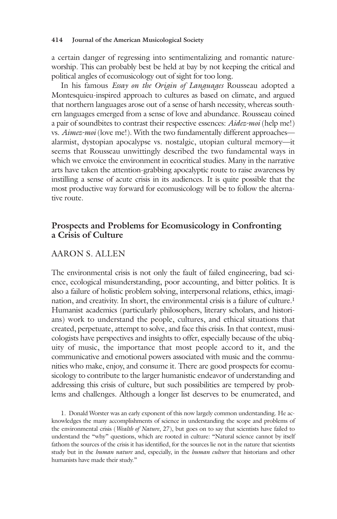a certain danger of regressing into sentimentalizing and romantic natureworship. This can probably best be held at bay by not keeping the critical and political angles of ecomusicology out of sight for too long.

In his famous *Essay on the Origin of Languages* Rousseau adopted a Montesquieu-inspired approach to cultures as based on climate, and argued that northern languages arose out of a sense of harsh necessity, whereas southern languages emerged from a sense of love and abundance. Rousseau coined a pair of soundbites to contrast their respective essences: *Aidez-moi* (help me!) vs. *Aimez-moi* (love me!). With the two fundamentally different approaches alarmist, dystopian apocalypse vs. nostalgic, utopian cultural memory—it seems that Rousseau unwittingly described the two fundamental ways in which we envoice the environment in ecocritical studies. Many in the narrative arts have taken the attention-grabbing apocalyptic route to raise awareness by instilling a sense of acute crisis in its audiences. It is quite possible that the most productive way forward for ecomusicology will be to follow the alternative route.

## **Prospects and Problems for Ecomusicology in Confronting a Crisis of Culture**

## AARON S. ALLEN

The environmental crisis is not only the fault of failed engineering, bad science, ecological misunderstanding, poor accounting, and bitter politics. It is also a failure of holistic problem solving, interpersonal relations, ethics, imagination, and creativity. In short, the environmental crisis is a failure of culture.1 Humanist academics (particularly philosophers, literary scholars, and historians) work to understand the people, cultures, and ethical situations that created, perpetuate, attempt to solve, and face this crisis. In that context, musicologists have perspectives and insights to offer, especially because of the ubiquity of music, the importance that most people accord to it, and the communicative and emotional powers associated with music and the communities who make, enjoy, and consume it. There are good prospects for ecomusicology to contribute to the larger humanistic endeavor of understanding and addressing this crisis of culture, but such possibilities are tempered by problems and challenges. Although a longer list deserves to be enumerated, and

1. Donald Worster was an early exponent of this now largely common understanding. He acknowledges the many accomplishments of science in understanding the scope and problems of the environmental crisis (*Wealth of Nature*, 27), but goes on to say that scientists have failed to understand the "why" questions, which are rooted in culture: "Natural science cannot by itself fathom the sources of the crisis it has identified, for the sources lie not in the nature that scientists study but in the *human nature* and, especially, in the *human culture* that historians and other humanists have made their study."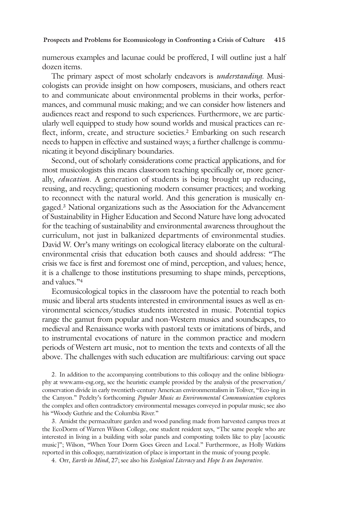numerous examples and lacunae could be proffered, I will outline just a half dozen items.

The primary aspect of most scholarly endeavors is *understanding*. Musicologists can provide insight on how composers, musicians, and others react to and communicate about environmental problems in their works, performances, and communal music making; and we can consider how listeners and audiences react and respond to such experiences. Furthermore, we are particularly well equipped to study how sound worlds and musical practices can reflect, inform, create, and structure societies.<sup>2</sup> Embarking on such research needs to happen in effective and sustained ways; a further challenge is communicating it beyond disciplinary boundaries.

Second, out of scholarly considerations come practical applications, and for most musicologists this means classroom teaching specifically or, more generally, *education*. A generation of students is being brought up reducing, reusing, and recycling; questioning modern consumer practices; and working to reconnect with the natural world. And this generation is musically engaged.3 National organizations such as the Association for the Advancement of Sustainability in Higher Education and Second Nature have long advocated for the teaching of sustainability and environmental awareness throughout the curriculum, not just in balkanized departments of environmental studies. David W. Orr's many writings on ecological literacy elaborate on the culturalenvironmental crisis that education both causes and should address: "The crisis we face is first and foremost one of mind, perception, and values; hence, it is a challenge to those institutions presuming to shape minds, perceptions, and values."4

Ecomusicological topics in the classroom have the potential to reach both music and liberal arts students interested in environmental issues as well as environmental sciences/studies students interested in music. Potential topics range the gamut from popular and non-Western musics and soundscapes, to medieval and Renaissance works with pastoral texts or imitations of birds, and to instrumental evocations of nature in the common practice and modern periods of Western art music, not to mention the texts and contexts of all the above. The challenges with such education are multifarious: carving out space

2. In addition to the accompanying contributions to this colloquy and the online bibliography at www.ams-esg.org, see the heuristic example provided by the analysis of the preservation/ conservation divide in early twentieth-century American environmentalism in Toliver, "Eco-ing in the Canyon." Pedelty's forthcoming *Popular Music as Environmental Communication* explores the complex and often contradictory environmental messages conveyed in popular music; see also his "Woody Guthrie and the Columbia River."

3. Amidst the permaculture garden and wood paneling made from harvested campus trees at the EcoDorm of Warren Wilson College, one student resident says, "The same people who are interested in living in a building with solar panels and composting toilets like to play [acoustic music]"; Wilson, "When Your Dorm Goes Green and Local." Furthermore, as Holly Watkins reported in this colloquy, narrativization of place is important in the music of young people.

4. Orr, *Earth in Mind*, 27; see also his *Ecological Literacy* and *Hope Is an Imperative.*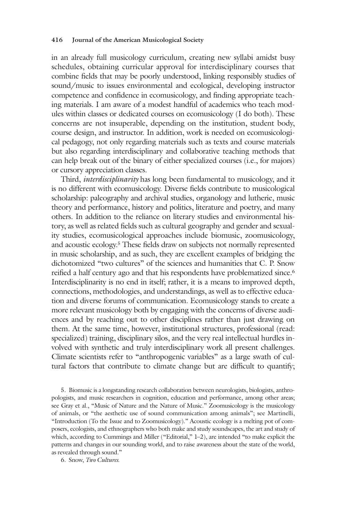in an already full musicology curriculum, creating new syllabi amidst busy schedules, obtaining curricular approval for interdisciplinary courses that combine fields that may be poorly understood, linking responsibly studies of sound/music to issues environmental and ecological, developing instructor competence and confidence in ecomusicology, and finding appropriate teaching materials. I am aware of a modest handful of academics who teach modules within classes or dedicated courses on ecomusicology (I do both). These concerns are not insuperable, depending on the institution, student body, course design, and instructor. In addition, work is needed on ecomusicological pedagogy, not only regarding materials such as texts and course materials but also regarding interdisciplinary and collaborative teaching methods that can help break out of the binary of either specialized courses (i.e., for majors) or cursory appreciation classes.

Third, *interdisciplinarity* has long been fundamental to musicology, and it is no different with ecomusicology. Diverse fields contribute to musicological scholarship: paleography and archival studies, organology and lutherie, music theory and performance, history and politics, literature and poetry, and many others. In addition to the reliance on literary studies and environmental history, as well as related fields such as cultural geography and gender and sexuality studies, ecomusicological approaches include biomusic, zoomusicology, and acoustic ecology.5 These fields draw on subjects not normally represented in music scholarship, and as such, they are excellent examples of bridging the dichotomized "two cultures" of the sciences and humanities that C. P. Snow reified a half century ago and that his respondents have problematized since.<sup>6</sup> Interdisciplinarity is no end in itself; rather, it is a means to improved depth, connections, methodologies, and understandings, as well as to effective education and diverse forums of communication. Ecomusicology stands to create a more relevant musicology both by engaging with the concerns of diverse audiences and by reaching out to other disciplines rather than just drawing on them. At the same time, however, institutional structures, professional (read: specialized) training, disciplinary silos, and the very real intellectual hurdles involved with synthetic and truly interdisciplinary work all present challenges. Climate scientists refer to "anthropogenic variables" as a large swath of cultural factors that contribute to climate change but are difficult to quantify;

5. Biomusic is a longstanding research collaboration between neurologists, biologists, anthropologists, and music researchers in cognition, education and performance, among other areas; see Gray et al., "Music of Nature and the Nature of Music." Zoomusicology is the musicology of animals, or "the aesthetic use of sound communication among animals"; see Martinelli, "Introduction (To the Issue and to Zoomusicology)." Acoustic ecology is a melting pot of composers, ecologists, and ethnographers who both make and study soundscapes, the art and study of which, according to Cummings and Miller ("Editorial," 1-2), are intended "to make explicit the patterns and changes in our sounding world, and to raise awareness about the state of the world, as revealed through sound."

6. Snow, *Two Cultures*.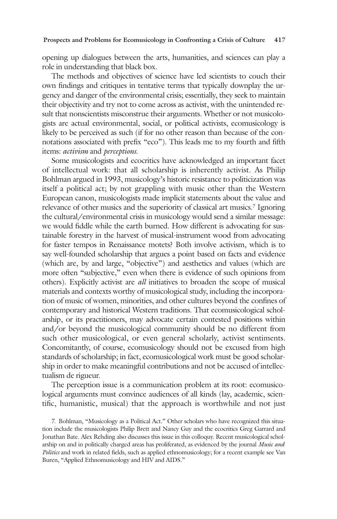opening up dialogues between the arts, humanities, and sciences can play a role in understanding that black box.

The methods and objectives of science have led scientists to couch their own findings and critiques in tentative terms that typically downplay the urgency and danger of the environmental crisis; essentially, they seek to maintain their objectivity and try not to come across as activist, with the unintended result that nonscientists misconstrue their arguments. Whether or not musicologists are actual environmental, social, or political activists, ecomusicology is likely to be perceived as such (if for no other reason than because of the connotations associated with prefix "eco"). This leads me to my fourth and fifth items: *activism* and *perceptions*.

Some musicologists and ecocritics have acknowledged an important facet of intellectual work: that all scholarship is inherently activist. As Philip Bohlman argued in 1993, musicology's historic resistance to politicization was itself a political act; by not grappling with music other than the Western European canon, musicologists made implicit statements about the value and relevance of other musics and the superiority of classical art musics.7 Ignoring the cultural/environmental crisis in musicology would send a similar message: we would fiddle while the earth burned. How different is advocating for sustainable forestry in the harvest of musical-instrument wood from advocating for faster tempos in Renaissance motets? Both involve activism, which is to say well-founded scholarship that argues a point based on facts and evidence (which are, by and large, "objective") and aesthetics and values (which are more often "subjective," even when there is evidence of such opinions from others). Explicitly activist are *all* initiatives to broaden the scope of musical materials and contexts worthy of musicological study, including the incorporation of music of women, minorities, and other cultures beyond the confines of contemporary and historical Western traditions. That ecomusicological scholarship, or its practitioners, may advocate certain contested positions within and/or beyond the musicological community should be no different from such other musicological, or even general scholarly, activist sentiments. Concomitantly, of course, ecomusicology should not be excused from high standards of scholarship; in fact, ecomusicological work must be good scholarship in order to make meaningful contributions and not be accused of intellectualism de rigueur.

The perception issue is a communication problem at its root: ecomusicological arguments must convince audiences of all kinds (lay, academic, scientific, humanistic, musical) that the approach is worthwhile and not just

<sup>7.</sup> Bohlman, "Musicology as a Political Act." Other scholars who have recognized this situation include the musicologists Philip Brett and Nancy Guy and the ecocritics Greg Garrard and Jonathan Bate. Alex Rehding also discusses this issue in this colloquy. Recent musicological scholarship on and in politically charged areas has proliferated, as evidenced by the journal *Music and Politics* and work in related fields, such as applied ethnomusicology; for a recent example see Van Buren, "Applied Ethnomusicology and HIV and AIDS."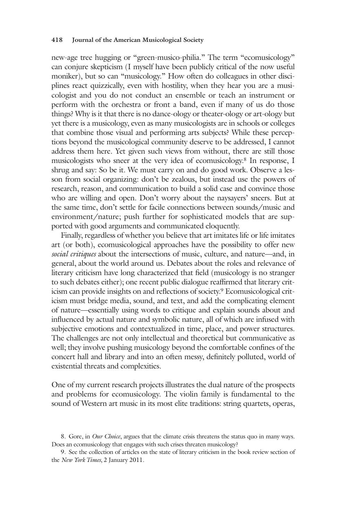new-age tree hugging or "green-musico-philia." The term "ecomusicology" can conjure skepticism (I myself have been publicly critical of the now useful moniker), but so can "musicology." How often do colleagues in other disciplines react quizzically, even with hostility, when they hear you are a musicologist and you do not conduct an ensemble or teach an instrument or perform with the orchestra or front a band, even if many of us do those things? Why is it that there is no dance-ology or theater-ology or art-ology but yet there is a musicology, even as many musicologists are in schools or colleges that combine those visual and performing arts subjects? While these perceptions beyond the musicological community deserve to be addressed, I cannot address them here. Yet given such views from without, there are still those musicologists who sneer at the very idea of ecomusicology.8 In response, I shrug and say: So be it. We must carry on and do good work. Observe a lesson from social organizing: don't be zealous, but instead use the powers of research, reason, and communication to build a solid case and convince those who are willing and open. Don't worry about the naysayers' sneers. But at the same time, don't settle for facile connections between sounds/music and environment/nature; push further for sophisticated models that are supported with good arguments and communicated eloquently.

Finally, regardless of whether you believe that art imitates life or life imitates art (or both), ecomusicological approaches have the possibility to offer new *social critiques* about the intersections of music, culture, and nature—and, in general, about the world around us. Debates about the roles and relevance of literary criticism have long characterized that field (musicology is no stranger to such debates either); one recent public dialogue reaffirmed that literary criticism can provide insights on and reflections of society.9 Ecomusicological criticism must bridge media, sound, and text, and add the complicating element of nature—essentially using words to critique and explain sounds about and influenced by actual nature and symbolic nature, all of which are infused with subjective emotions and contextualized in time, place, and power structures. The challenges are not only intellectual and theoretical but communicative as well; they involve pushing musicology beyond the comfortable confines of the concert hall and library and into an often messy, definitely polluted, world of existential threats and complexities.

One of my current research projects illustrates the dual nature of the prospects and problems for ecomusicology. The violin family is fundamental to the sound of Western art music in its most elite traditions: string quartets, operas,

<sup>8.</sup> Gore, in *Our Choice*, argues that the climate crisis threatens the status quo in many ways. Does an ecomusicology that engages with such crises threaten musicology?

<sup>9.</sup> See the collection of articles on the state of literary criticism in the book review section of the *New York Times*, 2 January 2011.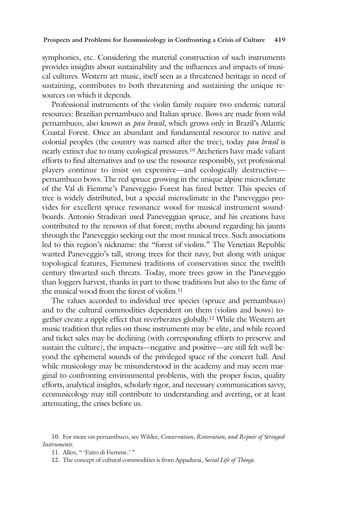symphonies, etc. Considering the material construction of such instruments provides insights about sustainability and the influences and impacts of musical cultures. Western art music, itself seen as a threatened heritage in need of sustaining, contributes to both threatening and sustaining the unique resources on which it depends.

Professional instruments of the violin family require two endemic natural resources: Brazilian pernambuco and Italian spruce. Bows are made from wild pernambuco, also known as *pau brasil*, which grows only in Brazil's Atlantic Coastal Forest. Once an abundant and fundamental resource to native and colonial peoples (the country was named after the tree), today *pau brasil* is nearly extinct due to many ecological pressures.10 Archetiers have made valiant efforts to find alternatives and to use the resource responsibly, yet professional players continue to insist on expensive—and ecologically destructive pernambuco bows. The red spruce growing in the unique alpine microclimate of the Val di Fiemme's Paneveggio Forest has fared better. This species of tree is widely distributed, but a special microclimate in the Paneveggio provides for excellent spruce resonance wood for musical instrument soundboards. Antonio Stradivari used Paneveggian spruce, and his creations have contributed to the renown of that forest; myths abound regarding his jaunts through the Paneveggio seeking out the most musical trees. Such associations led to this region's nickname: the "forest of violins." The Venetian Republic wanted Paneveggio's tall, strong trees for their navy, but along with unique topological features, Fiemmesi traditions of conservation since the twelfth century thwarted such threats. Today, more trees grow in the Paneveggio than loggers harvest, thanks in part to those traditions but also to the fame of the musical wood from the forest of violins.11

The values accorded to individual tree species (spruce and pernambuco) and to the cultural commodities dependent on them (violins and bows) together create a ripple effect that reverberates globally.12 While the Western art music tradition that relies on those instruments may be elite, and while record and ticket sales may be declining (with corresponding efforts to preserve and sustain the culture), the impacts—negative and positive—are still felt well beyond the ephemeral sounds of the privileged space of the concert hall. And while musicology may be misunderstood in the academy and may seem marginal to confronting environmental problems, with the proper focus, quality efforts, analytical insights, scholarly rigor, and necessary communication savvy, ecomusicology may still contribute to understanding and averting, or at least attenuating, the crises before us.

<sup>10.</sup> For more on pernambuco, see Wilder, *Conservation, Restoration, and Repair of Stringed Instruments*.

<sup>11.</sup> Allen, " 'Fatto di Fiemme.' "

<sup>12.</sup> The concept of cultural commodities is from Appadurai, *Social Life of Things*.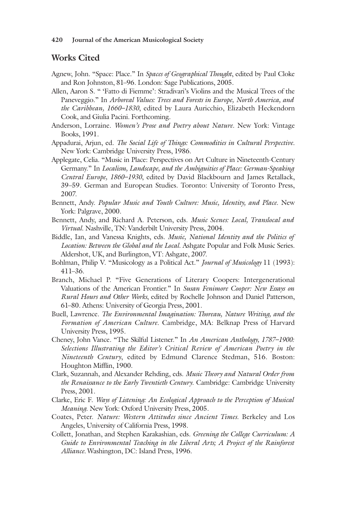## **Works Cited**

- Agnew, John. "Space: Place." In *Spaces of Geographical Thought*, edited by Paul Cloke and Ron Johnston, 81–96. London: Sage Publications, 2005.
- Allen, Aaron S. " 'Fatto di Fiemme': Stradivari's Violins and the Musical Trees of the Paneveggio." In *Arboreal Values: Trees and Forests in Europe, North America, and the Caribbean, 1660–1830*, edited by Laura Auricchio, Elizabeth Heckendorn Cook, and Giulia Pacini. Forthcoming.
- Anderson, Lorraine. *Women's Prose and Poetry about Nature*. New York: Vintage Books, 1991.
- Appadurai, Arjun, ed. *The Social Life of Things: Commodities in Cultural Perspective.* New York: Cambridge University Press, 1986.
- Applegate, Celia. "Music in Place: Perspectives on Art Culture in Nineteenth-Century Germany." In *Localism, Landscape, and the Ambiguities of Place: German-Speaking Central Europe, 1860–1930*, edited by David Blackbourn and James Retallack, 39–59. German and European Studies. Toronto: University of Toronto Press, 2007.
- Bennett, Andy. *Popular Music and Youth Culture: Music, Identity, and Place*. New York: Palgrave, 2000.
- Bennett, Andy, and Richard A. Peterson, eds. *Music Scenes: Local, Translocal and Virtual*. Nashville, TN: Vanderbilt University Press, 2004.
- Biddle, Ian, and Vanessa Knights, eds. *Music, National Identity and the Politics of Location: Between the Global and the Local*. Ashgate Popular and Folk Music Series. Aldershot, UK, and Burlington, VT: Ashgate, 2007.
- Bohlman, Philip V. "Musicology as a Political Act." *Journal of Musicology* 11 (1993): 411–36.
- Branch, Michael P. "Five Generations of Literary Coopers: Intergenerational Valuations of the American Frontier." In *Susan Fenimore Cooper: New Essays on Rural Hours and Other Works*, edited by Rochelle Johnson and Daniel Patterson, 61–80. Athens: University of Georgia Press, 2001.
- Buell, Lawrence. *The Environmental Imagination: Thoreau, Nature Writing, and the Formation of American Culture.* Cambridge, MA: Belknap Press of Harvard University Press, 1995.
- Cheney, John Vance. "The Skilful Listener." In *An American Anthology, 1787–1900: Selections Illustrating the Editor's Critical Review of American Poetry in the Nineteenth Century*, edited by Edmund Clarence Stedman, 516. Boston: Houghton Mifflin, 1900.
- Clark, Suzannah, and Alexander Rehding, eds. *Music Theory and Natural Order from the Renaissance to the Early Twentieth Century*. Cambridge: Cambridge University Press, 2001.
- Clarke, Eric F. *Ways of Listening: An Ecological Approach to the Perception of Musical Meaning*. New York: Oxford University Press, 2005.
- Coates, Peter. *Nature: Western Attitudes since Ancient Times*. Berkeley and Los Angeles, University of California Press, 1998.
- Collett, Jonathan, and Stephen Karakashian, eds. *Greening the College Curriculum: A Guide to Environmental Teaching in the Liberal Arts; A Project of the Rainforest Alliance.* Washington, DC: Island Press, 1996.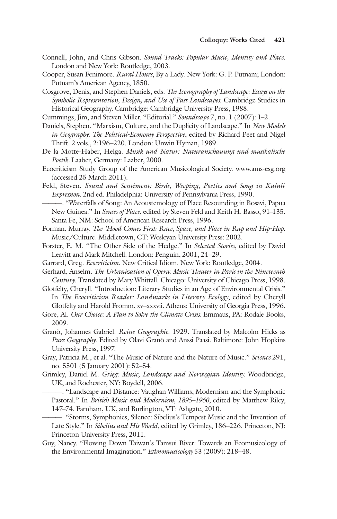- Connell, John, and Chris Gibson. *Sound Tracks: Popular Music, Identity and Place*. London and New York: Routledge, 2003.
- Cooper, Susan Fenimore. *Rural Hours*, By a Lady. New York: G. P. Putnam; London: Putnam's American Agency, 1850.
- Cosgrove, Denis, and Stephen Daniels, eds. *The Iconography of Landscape: Essays on the Symbolic Representation, Design, and Use of Past Landscapes*. Cambridge Studies in Historical Geography. Cambridge: Cambridge University Press, 1988.
- Cummings, Jim, and Steven Miller. "Editorial." *Soundscape* 7, no. 1 (2007): 1–2.
- Daniels, Stephen. "Marxism, Culture, and the Duplicity of Landscape." In *New Models in Geography: The Political-Economy Perspective*, edited by Richard Peet and Nigel Thrift. 2 vols., 2:196–220. London: Unwin Hyman, 1989.
- De la Motte-Haber, Helga. *Musik und Natur: Naturanschauung und musikalische Poetik.* Laaber, Germany: Laaber, 2000.
- Ecocriticism Study Group of the American Musicological Society. www.ams-esg.org (accessed 25 March 2011).
- Feld, Steven. *Sound and Sentiment: Birds, Weeping, Poetics and Song in Kaluli Expression.* 2nd ed. Philadelphia: University of Pennsylvania Press, 1990.
	- ———. "Waterfalls of Song: An Acoustemology of Place Resounding in Bosavi, Papua New Guinea." In *Senses of Place*, edited by Steven Feld and Keith H. Basso, 91–135. Santa Fe, NM: School of American Research Press, 1996.
- Forman, Murray. *The 'Hood Comes First: Race, Space, and Place in Rap and Hip-Hop*. Music/Culture. Middletown, CT: Wesleyan University Press: 2002.
- Forster, E. M. "The Other Side of the Hedge." In *Selected Stories*, edited by David Leavitt and Mark Mitchell. London: Penguin, 2001, 24–29.
- Garrard, Greg. *Ecocriticism*. New Critical Idiom. New York: Routledge, 2004.
- Gerhard, Anselm. *The Urbanization of Opera: Music Theater in Paris in the Nineteenth Century*. Translated by Mary Whittall. Chicago: University of Chicago Press, 1998.
- Glotfelty, Cheryll. "Introduction: Literary Studies in an Age of Environmental Crisis." In *The Ecocriticism Reader: Landmarks in Literary Ecology*, edited by Cheryll Glotfelty and Harold Fromm, xv–xxxvii. Athens: University of Georgia Press, 1996.
- Gore, Al. *Our Choice: A Plan to Solve the Climate Crisis.* Emmaus, PA: Rodale Books, 2009.
- Granö, Johannes Gabriel. *Reine Geographie*. 1929. Translated by Malcolm Hicks as *Pure Geography*. Edited by Olavi Granö and Anssi Paasi. Baltimore: John Hopkins University Press, 1997.
- Gray, Patricia M., et al. "The Music of Nature and the Nature of Music." *Science* 291, no. 5501 (5 January 2001): 52–54.
- Grimley, Daniel M. *Grieg: Music, Landscape and Norwegian Identity.* Woodbridge, UK, and Rochester, NY: Boydell, 2006.
- ———. "Landscape and Distance: Vaughan Williams, Modernism and the Symphonic Pastoral." In *British Music and Modernism, 1895–1960*, edited by Matthew Riley, 147–74. Farnham, UK, and Burlington, VT: Ashgate, 2010.
- ———. "Storms, Symphonies, Silence: Sibelius's Tempest Music and the Invention of Late Style." In *Sibelius and His World*, edited by Grimley, 186–226. Princeton, NJ: Princeton University Press, 2011.
- Guy, Nancy. "Flowing Down Taiwan's Tamsui River: Towards an Ecomusicology of the Environmental Imagination." *Ethnomusicology* 53 (2009): 218–48.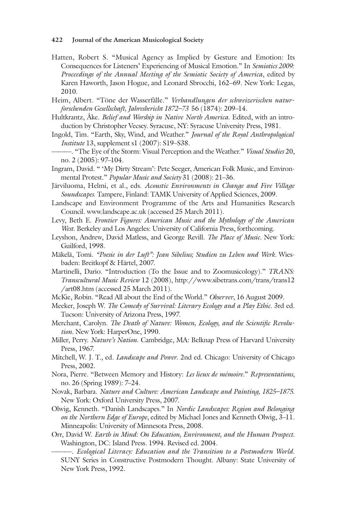- Hatten, Robert S. "Musical Agency as Implied by Gesture and Emotion: Its Consequences for Listeners' Experiencing of Musical Emotion." In *Semiotics 2009: Pro ceedings of the Annual Meeting of the Semiotic Society of America*, edited by Karen Haworth, Jason Hogue, and Leonard Sbrocchi, 162–69. New York: Legas, 2010.
- Heim, Albert. "Töne der Wasserfälle." *Verhandlungen der schweizerischen naturforschenden Gesellschaft, Jahresbericht 1872–73* 56 (1874): 209–14.
- Hultkrantz, Åke. *Belief and Worship in Native North America*. Edited, with an introduction by Christopher Vecsey. Syracuse, NY: Syracuse University Press, 1981.
- Ingold, Tim. "Earth, Sky, Wind, and Weather." *Journal of the Royal Anthropological Institute* 13, supplement s1 (2007): S19–S38.
- ———. "The Eye of the Storm: Visual Perception and the Weather." *Visual Studies* 20, no. 2 (2005): 97–104.
- Ingram, David. " 'My Dirty Stream': Pete Seeger, American Folk Music, and Environmental Protest." *Popular Music and Society* 31 (2008): 21–36.
- Järviluoma, Helmi, et al., eds. *Acoustic Environments in Change and Five Village Soundscapes*. Tampere, Finland: TAMK University of Applied Sciences, 2009.
- Landscape and Environment Programme of the Arts and Humanities Research Council. www.landscape.ac.uk (accessed 25 March 2011).
- Levy, Beth E. *Frontier Figures: American Music and the Mythology of the American West*. Berkeley and Los Angeles: University of California Press, forthcoming.
- Leyshon, Andrew, David Matless, and George Revill. *The Place of Music.* New York: Guilford, 1998.
- Mäkelä, Tomi. *"Poesie in der Luft": Jean Sibelius; Studien zu Leben und Werk.* Wiesbaden: Breitkopf & Härtel, 2007.
- Martinelli, Dario. "Introduction (To the Issue and to Zoomusicology)." *TRANS: Trans cultural Music Review* 12 (2008), http://www.sibetrans.com/trans/trans12 /art08.htm (accessed 25 March 2011).
- McKie, Robin. "Read All about the End of the World." *Observer*, 16 August 2009.
- Meeker, Joseph W. *The Comedy of Survival: Literary Ecology and a Play Ethic*. 3rd ed. Tucson: University of Arizona Press, 1997.
- Merchant, Carolyn. *The Death of Nature: Women, Ecology, and the Scientific Revolu tion*. New York: HarperOne, 1990.
- Miller, Perry. *Nature's Nation*. Cambridge, MA: Belknap Press of Harvard University Press, 1967.
- Mitchell, W. J. T., ed. *Landscape and Power*. 2nd ed. Chicago: University of Chicago Press, 2002.
- Nora, Pierre. "Between Memory and History: *Les lieux de mémoire.*" *Representations*, no. 26 (Spring 1989): 7–24.
- Novak, Barbara. *Nature and Culture: American Landscape and Painting, 1825–1875*. New York: Oxford University Press, 2007.
- Olwig, Kenneth. "Danish Landscapes." In *Nordic Landscapes: Region and Belonging on the Northern Edge of Europe*, edited by Michael Jones and Kenneth Olwig, 3–11. Minneapolis: University of Minnesota Press, 2008.
- Orr, David W. *Earth in Mind: On Education, Environment, and the Human Prospect*. Washington, DC: Island Press. 1994. Revised ed. 2004.
	- ———. *Ecological Literacy: Education and the Transition to a Postmodern World*. SUNY Series in Constructive Postmodern Thought. Albany: State University of New York Press, 1992.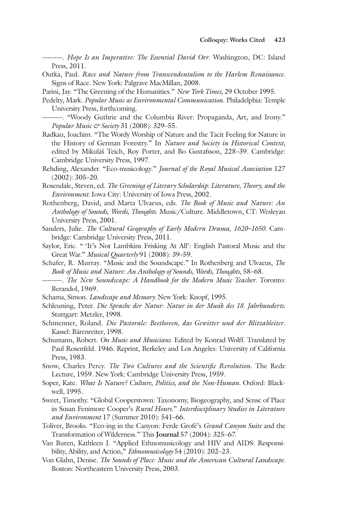———. *Hope Is an Imperative: The Essential David Orr*. Washington, DC: Island Press, 2011.

Outka, Paul. *Race and Nature from Transcendentalism to the Harlem Renaissance.* Signs of Race. New York: Palgrave MacMillan, 2008.

Parini, Jay. "The Greening of the Humanities." *New York Times*, 29 October 1995.

Pedelty, Mark. *Popular Music as Environmental Communication*. Philadelphia: Temple University Press, forthcoming.

-. "Woody Guthrie and the Columbia River: Propaganda, Art, and Irony." *Popular Music & Society* 31 (2008): 329–55.

- Radkau, Joachim. "The Wordy Worship of Nature and the Tacit Feeling for Nature in the History of German Forestry." In *Nature and Society in Historical Context*, edited by Mikuláš Teich, Roy Porter, and Bo Gustafsson, 228–39. Cambridge: Cambridge University Press, 1997.
- Rehding, Alexander. "Eco-musicology." *Journal of the Royal Musical Association* 127 (2002): 305–20.
- Rosendale, Steven, ed. *The Greening of Literary Scholarship: Literature, Theory, and the Environment.* Iowa City: University of Iowa Press, 2002.
- Rothenberg, David, and Marta Ulvaeus, eds. *The Book of Music and Nature: An Anthology of Sounds, Words, Thoughts*. Music/Culture. Middletown, CT: Wesleyan University Press, 2001.
- Sanders, Julie. *The Cultural Geography of Early Modern Drama*, 1620–1650. Cambridge: Cambridge University Press, 2011.
- Saylor, Eric. " 'It's Not Lambkins Frisking At All': English Pastoral Music and the Great War." *Musical Quarterly* 91 (2008): 39–59.
- Schafer, R. Murray. "Music and the Soundscape." In Rothenberg and Ulvaeus, *The Book of Music and Nature: An Anthology of Sounds, Words, Thoughts*, 58–68.
- ———. *The New Soundscape: A Handbook for the Modern Music Teacher*. Toronto: Berandol, 1969.
- Schama, Simon. *Landscape and Memory.* New York: Knopf, 1995.
- Schleuning, Peter. *Die Sprache der Natur: Natur in der Musik des 18. Jahrhunderts*. Stuttgart: Metzler, 1998.
- Schmenner, Roland. *Die Pastorale: Beethoven, das Gewitter und der Blitzableiter*. Kassel: Bärenreiter*,* 1998.
- Schumann, Robert. *On Music and Musicians*. Edited by Konrad Wolff. Translated by Paul Rosenfeld. 1946. Reprint, Berkeley and Los Angeles: University of California Press, 1983.
- Snow, Charles Percy. *The Two Cultures and the Scientific Revolution*. The Rede Lecture, 1959. New York: Cambridge University Press, 1959.
- Soper, Kate. *What Is Nature? Culture, Politics, and the Non-Human. Oxford: Black*well, 1995.
- Sweet, Timothy. "Global Cooperstown: Taxonomy, Biogeography, and Sense of Place in Susan Fenimore Cooper's *Rural Hours*." *Interdisciplinary Studies in Literature and Environment* 17 (Summer 2010): 541–66.
- Toliver, Brooks. "Eco-ing in the Canyon: Ferde Grofé's *Grand Canyon Suite* and the Transformation of Wilderness." This **Journal** 57 (2004): 325–67.
- Van Buren, Kathleen J. "Applied Ethnomusicology and HIV and AIDS: Responsi bility, Ability, and Action," *Ethnomusicology* 54 (2010): 202–23.
- Von Glahn, Denise. *The Sounds of Place: Music and the American Cultural Landscape*. Boston: Northeastern University Press, 2003.